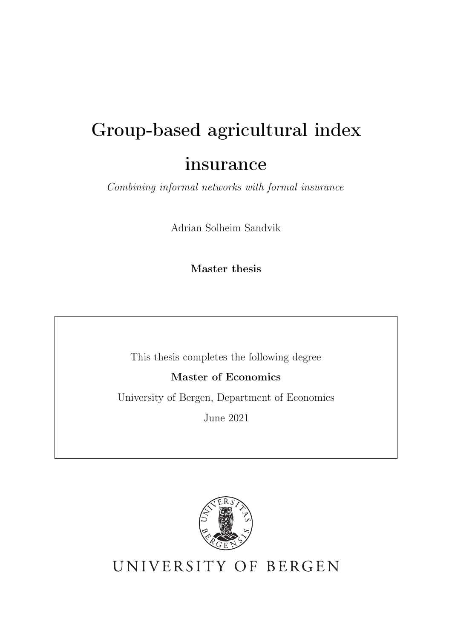# Group-based agricultural index

# insurance

*Combining informal networks with formal insurance*

Adrian Solheim Sandvik

Master thesis

This thesis completes the following degree

Master of Economics

University of Bergen, Department of Economics

June 2021



UNIVERSITY OF BERGEN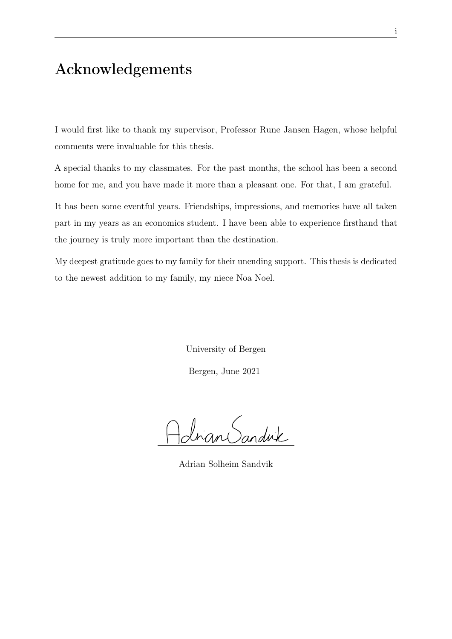# Acknowledgements

I would first like to thank my supervisor, Professor Rune Jansen Hagen, whose helpful comments were invaluable for this thesis.

A special thanks to my classmates. For the past months, the school has been a second home for me, and you have made it more than a pleasant one. For that, I am grateful.

It has been some eventful years. Friendships, impressions, and memories have all taken part in my years as an economics student. I have been able to experience firsthand that the journey is truly more important than the destination.

My deepest gratitude goes to my family for their unending support. This thesis is dedicated to the newest addition to my family, my niece Noa Noel.

> University of Bergen Bergen, June 2021

Johan Sanduk

Adrian Solheim Sandvik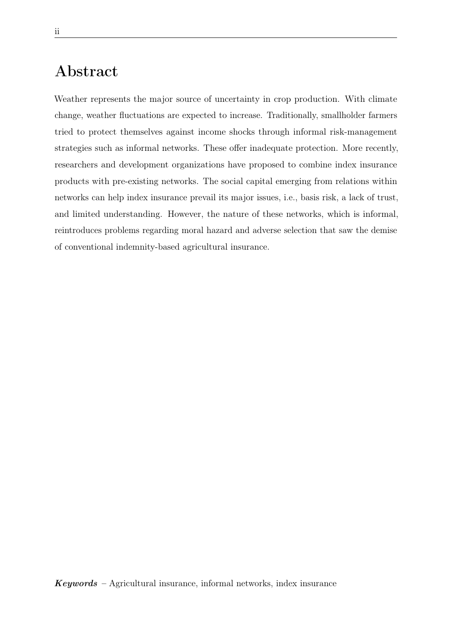# Abstract

Weather represents the major source of uncertainty in crop production. With climate change, weather fluctuations are expected to increase. Traditionally, smallholder farmers tried to protect themselves against income shocks through informal risk-management strategies such as informal networks. These offer inadequate protection. More recently, researchers and development organizations have proposed to combine index insurance products with pre-existing networks. The social capital emerging from relations within networks can help index insurance prevail its major issues, i.e., basis risk, a lack of trust, and limited understanding. However, the nature of these networks, which is informal, reintroduces problems regarding moral hazard and adverse selection that saw the demise of conventional indemnity-based agricultural insurance.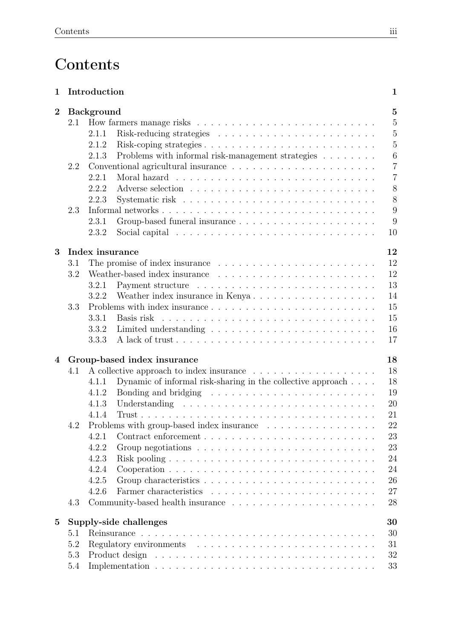# **Contents**

| $\mathbf 1$ |     | Introduction                                                                             | $\mathbf{1}$     |
|-------------|-----|------------------------------------------------------------------------------------------|------------------|
| $\bf{2}$    |     | <b>Background</b>                                                                        | $\overline{5}$   |
|             | 2.1 |                                                                                          | $\overline{5}$   |
|             |     | 2.1.1                                                                                    | 5                |
|             |     | 2.1.2                                                                                    | $\overline{5}$   |
|             |     | Problems with informal risk-management strategies $\ldots \ldots \ldots$<br>2.1.3        | $\boldsymbol{6}$ |
|             | 2.2 | Conventional agricultural insurance $\ldots \ldots \ldots \ldots \ldots \ldots \ldots$   | $\overline{7}$   |
|             |     | 2.2.1                                                                                    | $\overline{7}$   |
|             |     | 2.2.2                                                                                    | 8                |
|             |     | 2.2.3                                                                                    | 8                |
|             | 2.3 |                                                                                          | 9                |
|             |     | 2.3.1                                                                                    | 9                |
|             |     |                                                                                          | 10               |
|             |     | Social capital $\ldots \ldots \ldots \ldots \ldots \ldots \ldots \ldots \ldots$<br>2.3.2 |                  |
| 3           |     | Index insurance                                                                          | 12               |
|             | 3.1 |                                                                                          | 12               |
|             | 3.2 |                                                                                          | 12               |
|             |     | 3.2.1                                                                                    | 13               |
|             |     | 3.2.2<br>Weather index insurance in Kenya                                                | 14               |
|             | 3.3 |                                                                                          | 15               |
|             |     | 3.3.1<br>Basis risk                                                                      | 15               |
|             |     | 3.3.2                                                                                    | 16               |
|             |     | 3.3.3                                                                                    | 17               |
| 4           |     |                                                                                          | 18               |
|             | 4.1 | Group-based index insurance                                                              | 18               |
|             |     | 4.1.1                                                                                    | 18               |
|             |     | Dynamic of informal risk-sharing in the collective approach                              |                  |
|             |     | Bonding and bridging $\ldots \ldots \ldots \ldots \ldots \ldots \ldots \ldots$<br>4.1.2  | 19               |
|             |     | 4.1.3                                                                                    | 20               |
|             |     | 4.1.4                                                                                    | 21               |
|             | 4.2 | Problems with group-based index insurance $\ldots \ldots \ldots \ldots \ldots$           | 22               |
|             |     | 4.2.1                                                                                    | 23               |
|             |     | 4.2.2                                                                                    | 23               |
|             |     | 4.2.3                                                                                    | 24               |
|             |     | 4.2.4                                                                                    | 24               |
|             |     | 4.2.5                                                                                    | 26               |
|             |     | 4.2.6                                                                                    | 27               |
|             | 4.3 | Community-based health insurance                                                         | 28               |
| $\bf{5}$    |     | Supply-side challenges                                                                   | 30               |
|             | 5.1 |                                                                                          | 30               |
|             | 5.2 |                                                                                          | 31               |
|             | 5.3 |                                                                                          | 32               |
|             | 5.4 |                                                                                          | 33               |
|             |     |                                                                                          |                  |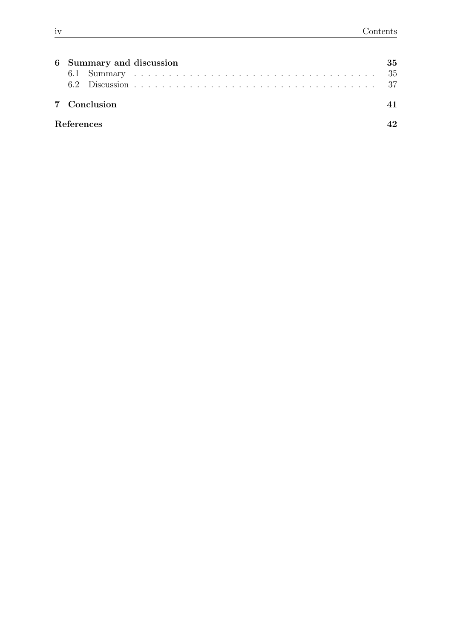|                   | 6 Summary and discussion | 35 |  |  |
|-------------------|--------------------------|----|--|--|
|                   | 7 Conclusion             |    |  |  |
| <b>References</b> |                          |    |  |  |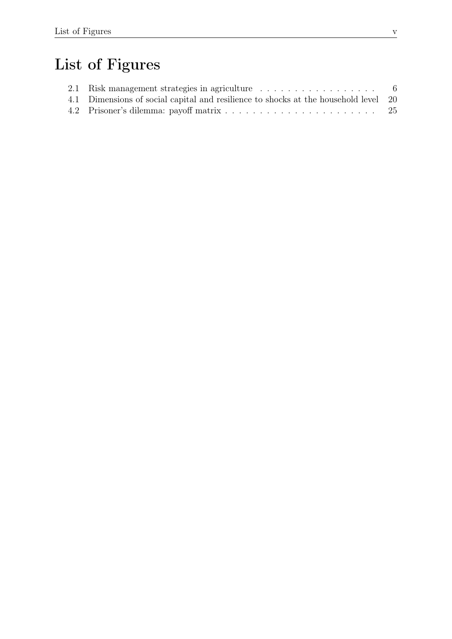# List of Figures

| 4.1 Dimensions of social capital and resilience to shocks at the household level 20 |     |
|-------------------------------------------------------------------------------------|-----|
|                                                                                     | -25 |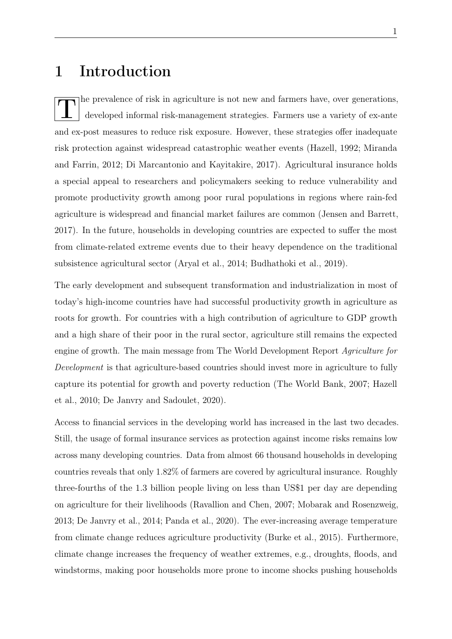# 1 Introduction

T he prevalence of risk in agriculture is not new and farmers have, over generations,<br>developed informal risk-management strategies. Farmers use a variety of ex-ante and ex-post measures to reduce risk exposure. However, these strategies offer inadequate risk protection against widespread catastrophic weather events (Hazell, 1992; Miranda and Farrin, 2012; Di Marcantonio and Kayitakire, 2017). Agricultural insurance holds a special appeal to researchers and policymakers seeking to reduce vulnerability and promote productivity growth among poor rural populations in regions where rain-fed agriculture is widespread and financial market failures are common (Jensen and Barrett, 2017). In the future, households in developing countries are expected to suffer the most from climate-related extreme events due to their heavy dependence on the traditional subsistence agricultural sector (Aryal et al., 2014; Budhathoki et al., 2019).

The early development and subsequent transformation and industrialization in most of today's high-income countries have had successful productivity growth in agriculture as roots for growth. For countries with a high contribution of agriculture to GDP growth and a high share of their poor in the rural sector, agriculture still remains the expected engine of growth. The main message from The World Development Report *Agriculture for Development* is that agriculture-based countries should invest more in agriculture to fully capture its potential for growth and poverty reduction (The World Bank, 2007; Hazell et al., 2010; De Janvry and Sadoulet, 2020).

Access to financial services in the developing world has increased in the last two decades. Still, the usage of formal insurance services as protection against income risks remains low across many developing countries. Data from almost 66 thousand households in developing countries reveals that only 1.82% of farmers are covered by agricultural insurance. Roughly three-fourths of the 1.3 billion people living on less than US\$1 per day are depending on agriculture for their livelihoods (Ravallion and Chen, 2007; Mobarak and Rosenzweig, 2013; De Janvry et al., 2014; Panda et al., 2020). The ever-increasing average temperature from climate change reduces agriculture productivity (Burke et al., 2015). Furthermore, climate change increases the frequency of weather extremes, e.g., droughts, floods, and windstorms, making poor households more prone to income shocks pushing households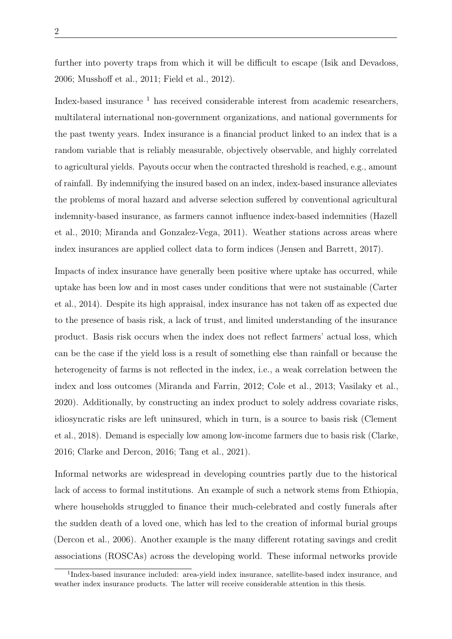2

further into poverty traps from which it will be difficult to escape (Isik and Devadoss, 2006; Musshoff et al., 2011; Field et al., 2012).

Index-based insurance <sup>1</sup> has received considerable interest from academic researchers, multilateral international non-government organizations, and national governments for the past twenty years. Index insurance is a financial product linked to an index that is a random variable that is reliably measurable, objectively observable, and highly correlated to agricultural yields. Payouts occur when the contracted threshold is reached, e.g., amount of rainfall. By indemnifying the insured based on an index, index-based insurance alleviates the problems of moral hazard and adverse selection suffered by conventional agricultural indemnity-based insurance, as farmers cannot influence index-based indemnities (Hazell et al., 2010; Miranda and Gonzalez-Vega, 2011). Weather stations across areas where index insurances are applied collect data to form indices (Jensen and Barrett, 2017).

Impacts of index insurance have generally been positive where uptake has occurred, while uptake has been low and in most cases under conditions that were not sustainable (Carter et al., 2014). Despite its high appraisal, index insurance has not taken off as expected due to the presence of basis risk, a lack of trust, and limited understanding of the insurance product. Basis risk occurs when the index does not reflect farmers' actual loss, which can be the case if the yield loss is a result of something else than rainfall or because the heterogeneity of farms is not reflected in the index, i.e., a weak correlation between the index and loss outcomes (Miranda and Farrin, 2012; Cole et al., 2013; Vasilaky et al., 2020). Additionally, by constructing an index product to solely address covariate risks, idiosyncratic risks are left uninsured, which in turn, is a source to basis risk (Clement et al., 2018). Demand is especially low among low-income farmers due to basis risk (Clarke, 2016; Clarke and Dercon, 2016; Tang et al., 2021).

Informal networks are widespread in developing countries partly due to the historical lack of access to formal institutions. An example of such a network stems from Ethiopia, where households struggled to finance their much-celebrated and costly funerals after the sudden death of a loved one, which has led to the creation of informal burial groups (Dercon et al., 2006). Another example is the many different rotating savings and credit associations (ROSCAs) across the developing world. These informal networks provide

<sup>1</sup>Index-based insurance included: area-yield index insurance, satellite-based index insurance, and weather index insurance products. The latter will receive considerable attention in this thesis.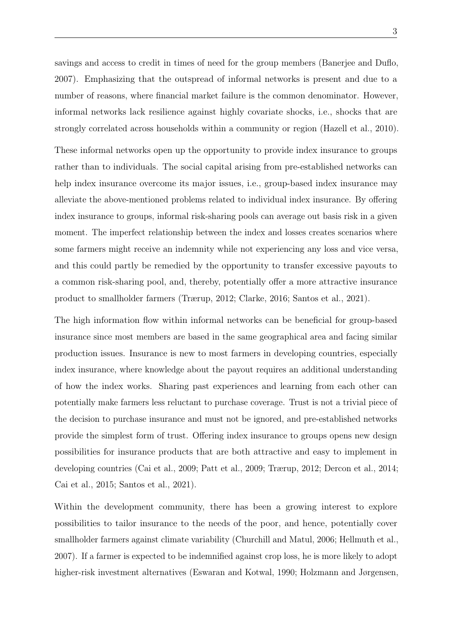savings and access to credit in times of need for the group members (Banerjee and Duflo, 2007). Emphasizing that the outspread of informal networks is present and due to a number of reasons, where financial market failure is the common denominator. However, informal networks lack resilience against highly covariate shocks, i.e., shocks that are strongly correlated across households within a community or region (Hazell et al., 2010).

These informal networks open up the opportunity to provide index insurance to groups rather than to individuals. The social capital arising from pre-established networks can help index insurance overcome its major issues, i.e., group-based index insurance may alleviate the above-mentioned problems related to individual index insurance. By offering index insurance to groups, informal risk-sharing pools can average out basis risk in a given moment. The imperfect relationship between the index and losses creates scenarios where some farmers might receive an indemnity while not experiencing any loss and vice versa, and this could partly be remedied by the opportunity to transfer excessive payouts to a common risk-sharing pool, and, thereby, potentially offer a more attractive insurance product to smallholder farmers (Trærup, 2012; Clarke, 2016; Santos et al., 2021).

The high information flow within informal networks can be beneficial for group-based insurance since most members are based in the same geographical area and facing similar production issues. Insurance is new to most farmers in developing countries, especially index insurance, where knowledge about the payout requires an additional understanding of how the index works. Sharing past experiences and learning from each other can potentially make farmers less reluctant to purchase coverage. Trust is not a trivial piece of the decision to purchase insurance and must not be ignored, and pre-established networks provide the simplest form of trust. Offering index insurance to groups opens new design possibilities for insurance products that are both attractive and easy to implement in developing countries (Cai et al., 2009; Patt et al., 2009; Trærup, 2012; Dercon et al., 2014; Cai et al., 2015; Santos et al., 2021).

Within the development community, there has been a growing interest to explore possibilities to tailor insurance to the needs of the poor, and hence, potentially cover smallholder farmers against climate variability (Churchill and Matul, 2006; Hellmuth et al., 2007). If a farmer is expected to be indemnified against crop loss, he is more likely to adopt higher-risk investment alternatives (Eswaran and Kotwal, 1990; Holzmann and Jørgensen,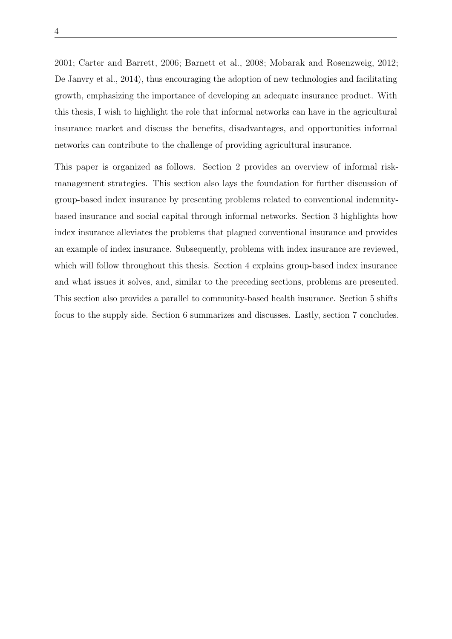4

2001; Carter and Barrett, 2006; Barnett et al., 2008; Mobarak and Rosenzweig, 2012; De Janvry et al., 2014), thus encouraging the adoption of new technologies and facilitating growth, emphasizing the importance of developing an adequate insurance product. With this thesis, I wish to highlight the role that informal networks can have in the agricultural insurance market and discuss the benefits, disadvantages, and opportunities informal networks can contribute to the challenge of providing agricultural insurance.

This paper is organized as follows. Section 2 provides an overview of informal riskmanagement strategies. This section also lays the foundation for further discussion of group-based index insurance by presenting problems related to conventional indemnitybased insurance and social capital through informal networks. Section 3 highlights how index insurance alleviates the problems that plagued conventional insurance and provides an example of index insurance. Subsequently, problems with index insurance are reviewed, which will follow throughout this thesis. Section 4 explains group-based index insurance and what issues it solves, and, similar to the preceding sections, problems are presented. This section also provides a parallel to community-based health insurance. Section 5 shifts focus to the supply side. Section 6 summarizes and discusses. Lastly, section 7 concludes.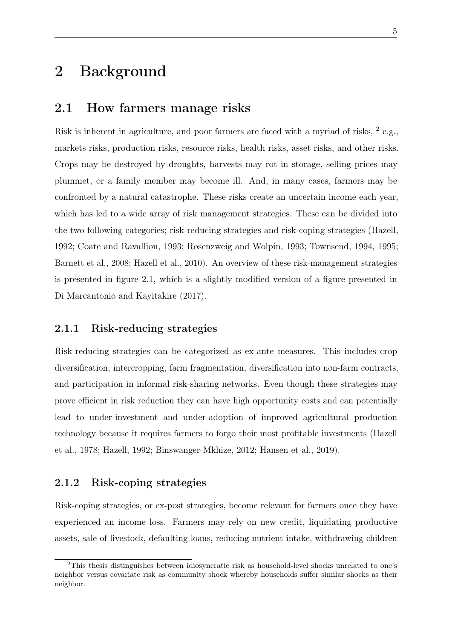# 2 Background

### 2.1 How farmers manage risks

Risk is inherent in agriculture, and poor farmers are faced with a myriad of risks,  $2$  e.g., markets risks, production risks, resource risks, health risks, asset risks, and other risks. Crops may be destroyed by droughts, harvests may rot in storage, selling prices may plummet, or a family member may become ill. And, in many cases, farmers may be confronted by a natural catastrophe. These risks create an uncertain income each year, which has led to a wide array of risk management strategies. These can be divided into the two following categories; risk-reducing strategies and risk-coping strategies (Hazell, 1992; Coate and Ravallion, 1993; Rosenzweig and Wolpin, 1993; Townsend, 1994, 1995; Barnett et al., 2008; Hazell et al., 2010). An overview of these risk-management strategies is presented in figure 2.1, which is a slightly modified version of a figure presented in Di Marcantonio and Kayitakire (2017).

### 2.1.1 Risk-reducing strategies

Risk-reducing strategies can be categorized as ex-ante measures. This includes crop diversification, intercropping, farm fragmentation, diversification into non-farm contracts, and participation in informal risk-sharing networks. Even though these strategies may prove efficient in risk reduction they can have high opportunity costs and can potentially lead to under-investment and under-adoption of improved agricultural production technology because it requires farmers to forgo their most profitable investments (Hazell et al., 1978; Hazell, 1992; Binswanger-Mkhize, 2012; Hansen et al., 2019).

### 2.1.2 Risk-coping strategies

Risk-coping strategies, or ex-post strategies, become relevant for farmers once they have experienced an income loss. Farmers may rely on new credit, liquidating productive assets, sale of livestock, defaulting loans, reducing nutrient intake, withdrawing children

<sup>2</sup>This thesis distinguishes between idiosyncratic risk as household-level shocks unrelated to one's neighbor versus covariate risk as community shock whereby households suffer similar shocks as their neighbor.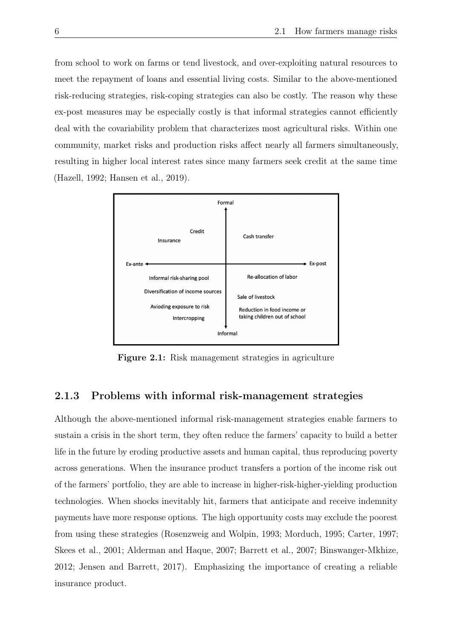from school to work on farms or tend livestock, and over-exploiting natural resources to meet the repayment of loans and essential living costs. Similar to the above-mentioned risk-reducing strategies, risk-coping strategies can also be costly. The reason why these ex-post measures may be especially costly is that informal strategies cannot efficiently deal with the covariability problem that characterizes most agricultural risks. Within one community, market risks and production risks affect nearly all farmers simultaneously, resulting in higher local interest rates since many farmers seek credit at the same time (Hazell, 1992; Hansen et al., 2019).



Figure 2.1: Risk management strategies in agriculture

### 2.1.3 Problems with informal risk-management strategies

Although the above-mentioned informal risk-management strategies enable farmers to sustain a crisis in the short term, they often reduce the farmers' capacity to build a better life in the future by eroding productive assets and human capital, thus reproducing poverty across generations. When the insurance product transfers a portion of the income risk out of the farmers' portfolio, they are able to increase in higher-risk-higher-yielding production technologies. When shocks inevitably hit, farmers that anticipate and receive indemnity payments have more response options. The high opportunity costs may exclude the poorest from using these strategies (Rosenzweig and Wolpin, 1993; Morduch, 1995; Carter, 1997; Skees et al., 2001; Alderman and Haque, 2007; Barrett et al., 2007; Binswanger-Mkhize, 2012; Jensen and Barrett, 2017). Emphasizing the importance of creating a reliable insurance product.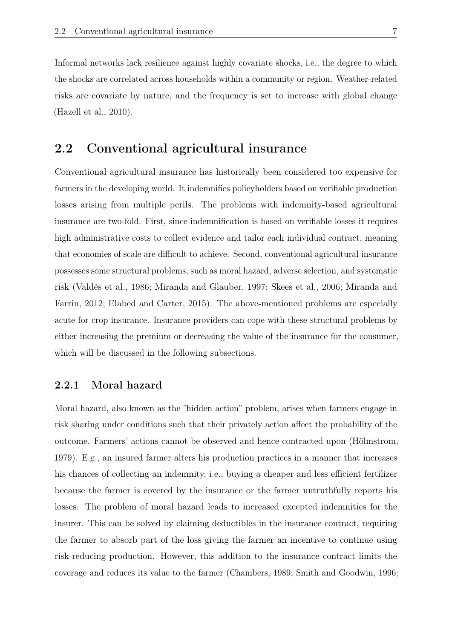Informal networks lack resilience against highly covariate shocks, i.e., the degree to which the shocks are correlated across households within a community or region. Weather-related risks are covariate by nature, and the frequency is set to increase with global change (Hazell et al., 2010).

### 2.2 Conventional agricultural insurance

Conventional agricultural insurance has historically been considered too expensive for farmers in the developing world. It indemnifies policyholders based on verifiable production losses arising from multiple perils. The problems with indemnity-based agricultural insurance are two-fold. First, since indemnification is based on verifiable losses it requires high administrative costs to collect evidence and tailor each individual contract, meaning that economies of scale are difficult to achieve. Second, conventional agricultural insurance possesses some structural problems, such as moral hazard, adverse selection, and systematic risk (Valdés et al., 1986; Miranda and Glauber, 1997; Skees et al., 2006; Miranda and Farrin, 2012; Elabed and Carter, 2015). The above-mentioned problems are especially acute for crop insurance. Insurance providers can cope with these structural problems by either increasing the premium or decreasing the value of the insurance for the consumer, which will be discussed in the following subsections.

### 2.2.1 Moral hazard

Moral hazard, also known as the "hidden action" problem, arises when farmers engage in risk sharing under conditions such that their privately action affect the probability of the outcome. Farmers' actions cannot be observed and hence contracted upon (Hölmstrom, 1979). E.g., an insured farmer alters his production practices in a manner that increases his chances of collecting an indemnity, i.e., buying a cheaper and less efficient fertilizer because the farmer is covered by the insurance or the farmer untruthfully reports his losses. The problem of moral hazard leads to increased excepted indemnities for the insurer. This can be solved by claiming deductibles in the insurance contract, requiring the farmer to absorb part of the loss giving the farmer an incentive to continue using risk-reducing production. However, this addition to the insurance contract limits the coverage and reduces its value to the farmer (Chambers, 1989; Smith and Goodwin, 1996;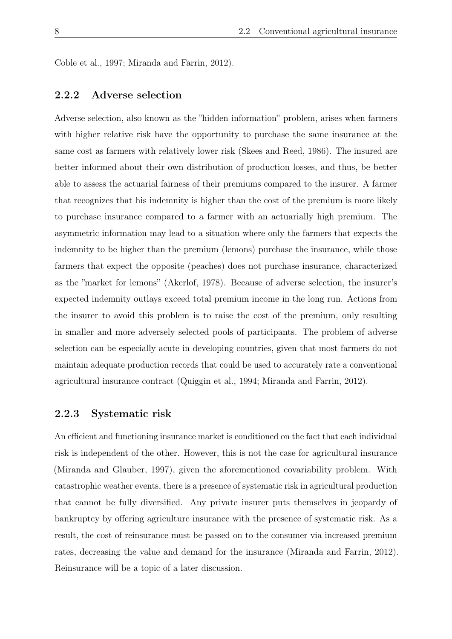Coble et al., 1997; Miranda and Farrin, 2012).

### 2.2.2 Adverse selection

Adverse selection, also known as the "hidden information" problem, arises when farmers with higher relative risk have the opportunity to purchase the same insurance at the same cost as farmers with relatively lower risk (Skees and Reed, 1986). The insured are better informed about their own distribution of production losses, and thus, be better able to assess the actuarial fairness of their premiums compared to the insurer. A farmer that recognizes that his indemnity is higher than the cost of the premium is more likely to purchase insurance compared to a farmer with an actuarially high premium. The asymmetric information may lead to a situation where only the farmers that expects the indemnity to be higher than the premium (lemons) purchase the insurance, while those farmers that expect the opposite (peaches) does not purchase insurance, characterized as the "market for lemons" (Akerlof, 1978). Because of adverse selection, the insurer's expected indemnity outlays exceed total premium income in the long run. Actions from the insurer to avoid this problem is to raise the cost of the premium, only resulting in smaller and more adversely selected pools of participants. The problem of adverse selection can be especially acute in developing countries, given that most farmers do not maintain adequate production records that could be used to accurately rate a conventional agricultural insurance contract (Quiggin et al., 1994; Miranda and Farrin, 2012).

### 2.2.3 Systematic risk

An efficient and functioning insurance market is conditioned on the fact that each individual risk is independent of the other. However, this is not the case for agricultural insurance (Miranda and Glauber, 1997), given the aforementioned covariability problem. With catastrophic weather events, there is a presence of systematic risk in agricultural production that cannot be fully diversified. Any private insurer puts themselves in jeopardy of bankruptcy by offering agriculture insurance with the presence of systematic risk. As a result, the cost of reinsurance must be passed on to the consumer via increased premium rates, decreasing the value and demand for the insurance (Miranda and Farrin, 2012). Reinsurance will be a topic of a later discussion.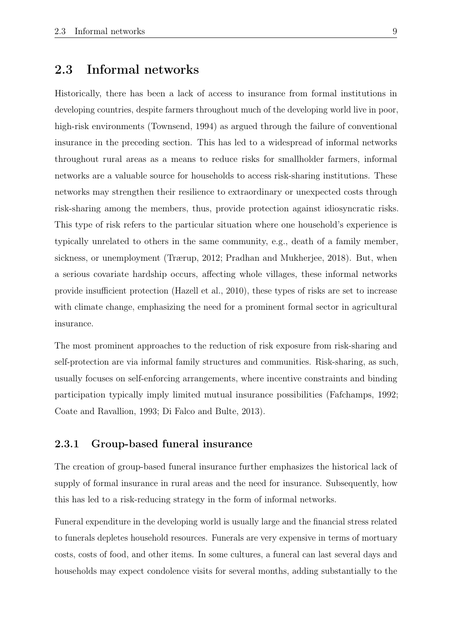### 2.3 Informal networks

Historically, there has been a lack of access to insurance from formal institutions in developing countries, despite farmers throughout much of the developing world live in poor, high-risk environments (Townsend, 1994) as argued through the failure of conventional insurance in the preceding section. This has led to a widespread of informal networks throughout rural areas as a means to reduce risks for smallholder farmers, informal networks are a valuable source for households to access risk-sharing institutions. These networks may strengthen their resilience to extraordinary or unexpected costs through risk-sharing among the members, thus, provide protection against idiosyncratic risks. This type of risk refers to the particular situation where one household's experience is typically unrelated to others in the same community, e.g., death of a family member, sickness, or unemployment (Trærup, 2012; Pradhan and Mukherjee, 2018). But, when a serious covariate hardship occurs, affecting whole villages, these informal networks provide insufficient protection (Hazell et al., 2010), these types of risks are set to increase with climate change, emphasizing the need for a prominent formal sector in agricultural insurance.

The most prominent approaches to the reduction of risk exposure from risk-sharing and self-protection are via informal family structures and communities. Risk-sharing, as such, usually focuses on self-enforcing arrangements, where incentive constraints and binding participation typically imply limited mutual insurance possibilities (Fafchamps, 1992; Coate and Ravallion, 1993; Di Falco and Bulte, 2013).

### 2.3.1 Group-based funeral insurance

The creation of group-based funeral insurance further emphasizes the historical lack of supply of formal insurance in rural areas and the need for insurance. Subsequently, how this has led to a risk-reducing strategy in the form of informal networks.

Funeral expenditure in the developing world is usually large and the financial stress related to funerals depletes household resources. Funerals are very expensive in terms of mortuary costs, costs of food, and other items. In some cultures, a funeral can last several days and households may expect condolence visits for several months, adding substantially to the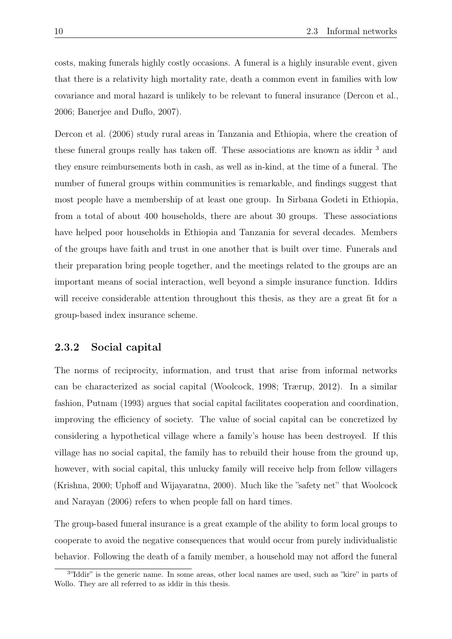costs, making funerals highly costly occasions. A funeral is a highly insurable event, given that there is a relativity high mortality rate, death a common event in families with low covariance and moral hazard is unlikely to be relevant to funeral insurance (Dercon et al., 2006; Banerjee and Duflo, 2007).

Dercon et al. (2006) study rural areas in Tanzania and Ethiopia, where the creation of these funeral groups really has taken off. These associations are known as iddir <sup>3</sup> and they ensure reimbursements both in cash, as well as in-kind, at the time of a funeral. The number of funeral groups within communities is remarkable, and findings suggest that most people have a membership of at least one group. In Sirbana Godeti in Ethiopia, from a total of about 400 households, there are about 30 groups. These associations have helped poor households in Ethiopia and Tanzania for several decades. Members of the groups have faith and trust in one another that is built over time. Funerals and their preparation bring people together, and the meetings related to the groups are an important means of social interaction, well beyond a simple insurance function. Iddirs will receive considerable attention throughout this thesis, as they are a great fit for a group-based index insurance scheme.

### 2.3.2 Social capital

The norms of reciprocity, information, and trust that arise from informal networks can be characterized as social capital (Woolcock, 1998; Trærup, 2012). In a similar fashion, Putnam (1993) argues that social capital facilitates cooperation and coordination, improving the efficiency of society. The value of social capital can be concretized by considering a hypothetical village where a family's house has been destroyed. If this village has no social capital, the family has to rebuild their house from the ground up, however, with social capital, this unlucky family will receive help from fellow villagers (Krishna, 2000; Uphoff and Wijayaratna, 2000). Much like the "safety net" that Woolcock and Narayan (2006) refers to when people fall on hard times.

The group-based funeral insurance is a great example of the ability to form local groups to cooperate to avoid the negative consequences that would occur from purely individualistic behavior. Following the death of a family member, a household may not afford the funeral

<sup>3</sup>"Iddir" is the generic name. In some areas, other local names are used, such as "kire" in parts of Wollo. They are all referred to as iddir in this thesis.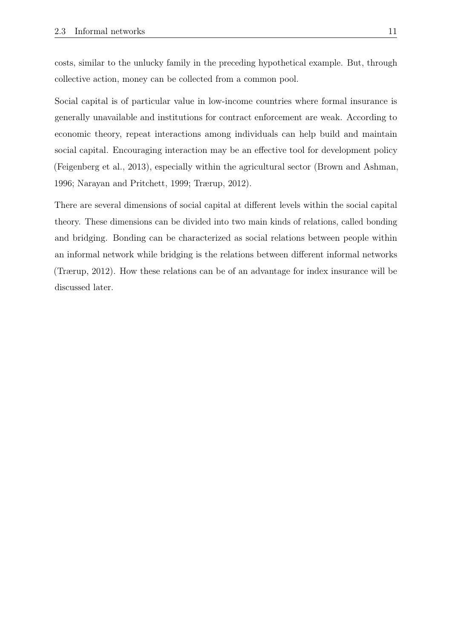costs, similar to the unlucky family in the preceding hypothetical example. But, through collective action, money can be collected from a common pool.

Social capital is of particular value in low-income countries where formal insurance is generally unavailable and institutions for contract enforcement are weak. According to economic theory, repeat interactions among individuals can help build and maintain social capital. Encouraging interaction may be an effective tool for development policy (Feigenberg et al., 2013), especially within the agricultural sector (Brown and Ashman, 1996; Narayan and Pritchett, 1999; Trærup, 2012).

There are several dimensions of social capital at different levels within the social capital theory. These dimensions can be divided into two main kinds of relations, called bonding and bridging. Bonding can be characterized as social relations between people within an informal network while bridging is the relations between different informal networks (Trærup, 2012). How these relations can be of an advantage for index insurance will be discussed later.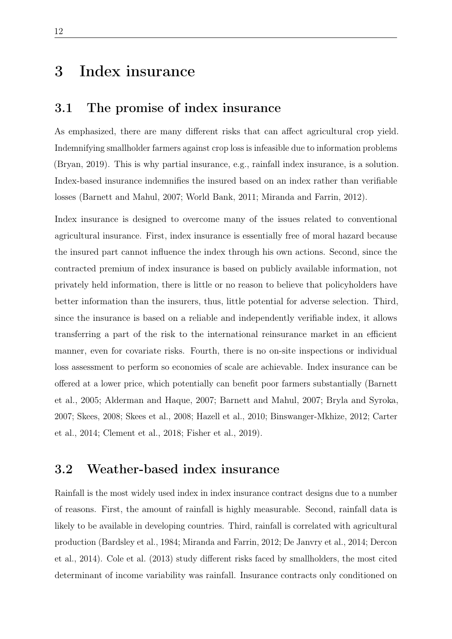# 3 Index insurance

### 3.1 The promise of index insurance

As emphasized, there are many different risks that can affect agricultural crop yield. Indemnifying smallholder farmers against crop loss is infeasible due to information problems (Bryan, 2019). This is why partial insurance, e.g., rainfall index insurance, is a solution. Index-based insurance indemnifies the insured based on an index rather than verifiable losses (Barnett and Mahul, 2007; World Bank, 2011; Miranda and Farrin, 2012).

Index insurance is designed to overcome many of the issues related to conventional agricultural insurance. First, index insurance is essentially free of moral hazard because the insured part cannot influence the index through his own actions. Second, since the contracted premium of index insurance is based on publicly available information, not privately held information, there is little or no reason to believe that policyholders have better information than the insurers, thus, little potential for adverse selection. Third, since the insurance is based on a reliable and independently verifiable index, it allows transferring a part of the risk to the international reinsurance market in an efficient manner, even for covariate risks. Fourth, there is no on-site inspections or individual loss assessment to perform so economies of scale are achievable. Index insurance can be offered at a lower price, which potentially can benefit poor farmers substantially (Barnett et al., 2005; Alderman and Haque, 2007; Barnett and Mahul, 2007; Bryla and Syroka, 2007; Skees, 2008; Skees et al., 2008; Hazell et al., 2010; Binswanger-Mkhize, 2012; Carter et al., 2014; Clement et al., 2018; Fisher et al., 2019).

## 3.2 Weather-based index insurance

Rainfall is the most widely used index in index insurance contract designs due to a number of reasons. First, the amount of rainfall is highly measurable. Second, rainfall data is likely to be available in developing countries. Third, rainfall is correlated with agricultural production (Bardsley et al., 1984; Miranda and Farrin, 2012; De Janvry et al., 2014; Dercon et al., 2014). Cole et al. (2013) study different risks faced by smallholders, the most cited determinant of income variability was rainfall. Insurance contracts only conditioned on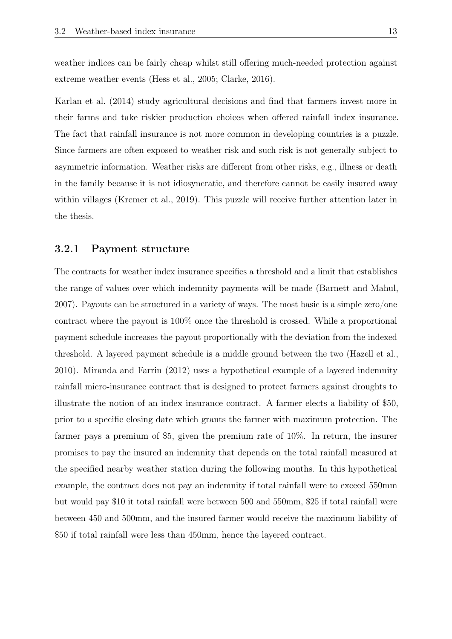weather indices can be fairly cheap whilst still offering much-needed protection against extreme weather events (Hess et al., 2005; Clarke, 2016).

Karlan et al. (2014) study agricultural decisions and find that farmers invest more in their farms and take riskier production choices when offered rainfall index insurance. The fact that rainfall insurance is not more common in developing countries is a puzzle. Since farmers are often exposed to weather risk and such risk is not generally subject to asymmetric information. Weather risks are different from other risks, e.g., illness or death in the family because it is not idiosyncratic, and therefore cannot be easily insured away within villages (Kremer et al., 2019). This puzzle will receive further attention later in the thesis.

### 3.2.1 Payment structure

The contracts for weather index insurance specifies a threshold and a limit that establishes the range of values over which indemnity payments will be made (Barnett and Mahul, 2007). Payouts can be structured in a variety of ways. The most basic is a simple zero/one contract where the payout is 100% once the threshold is crossed. While a proportional payment schedule increases the payout proportionally with the deviation from the indexed threshold. A layered payment schedule is a middle ground between the two (Hazell et al., 2010). Miranda and Farrin (2012) uses a hypothetical example of a layered indemnity rainfall micro-insurance contract that is designed to protect farmers against droughts to illustrate the notion of an index insurance contract. A farmer elects a liability of \$50, prior to a specific closing date which grants the farmer with maximum protection. The farmer pays a premium of \$5, given the premium rate of 10%. In return, the insurer promises to pay the insured an indemnity that depends on the total rainfall measured at the specified nearby weather station during the following months. In this hypothetical example, the contract does not pay an indemnity if total rainfall were to exceed 550mm but would pay \$10 it total rainfall were between 500 and 550mm, \$25 if total rainfall were between 450 and 500mm, and the insured farmer would receive the maximum liability of \$50 if total rainfall were less than 450mm, hence the layered contract.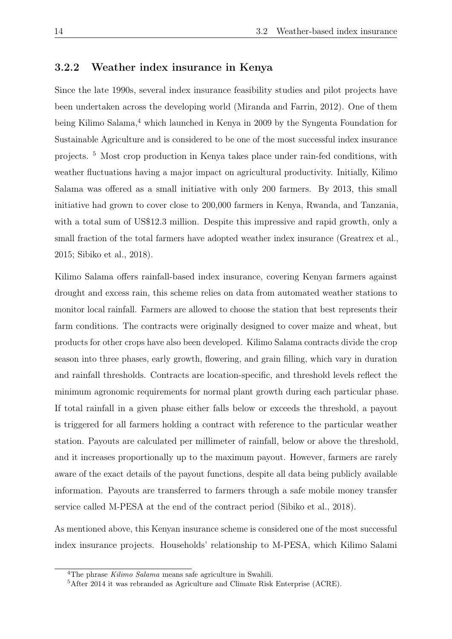### 3.2.2 Weather index insurance in Kenya

Since the late 1990s, several index insurance feasibility studies and pilot projects have been undertaken across the developing world (Miranda and Farrin, 2012). One of them being Kilimo Salama,<sup>4</sup> which launched in Kenya in 2009 by the Syngenta Foundation for Sustainable Agriculture and is considered to be one of the most successful index insurance projects. <sup>5</sup> Most crop production in Kenya takes place under rain-fed conditions, with weather fluctuations having a major impact on agricultural productivity. Initially, Kilimo Salama was offered as a small initiative with only 200 farmers. By 2013, this small initiative had grown to cover close to 200,000 farmers in Kenya, Rwanda, and Tanzania, with a total sum of US\$12.3 million. Despite this impressive and rapid growth, only a small fraction of the total farmers have adopted weather index insurance (Greatrex et al., 2015; Sibiko et al., 2018).

Kilimo Salama offers rainfall-based index insurance, covering Kenyan farmers against drought and excess rain, this scheme relies on data from automated weather stations to monitor local rainfall. Farmers are allowed to choose the station that best represents their farm conditions. The contracts were originally designed to cover maize and wheat, but products for other crops have also been developed. Kilimo Salama contracts divide the crop season into three phases, early growth, flowering, and grain filling, which vary in duration and rainfall thresholds. Contracts are location-specific, and threshold levels reflect the minimum agronomic requirements for normal plant growth during each particular phase. If total rainfall in a given phase either falls below or exceeds the threshold, a payout is triggered for all farmers holding a contract with reference to the particular weather station. Payouts are calculated per millimeter of rainfall, below or above the threshold, and it increases proportionally up to the maximum payout. However, farmers are rarely aware of the exact details of the payout functions, despite all data being publicly available information. Payouts are transferred to farmers through a safe mobile money transfer service called M-PESA at the end of the contract period (Sibiko et al., 2018).

As mentioned above, this Kenyan insurance scheme is considered one of the most successful index insurance projects. Households' relationship to M-PESA, which Kilimo Salami

<sup>4</sup>The phrase *Kilimo Salama* means safe agriculture in Swahili.

<sup>5</sup>After 2014 it was rebranded as Agriculture and Climate Risk Enterprise (ACRE).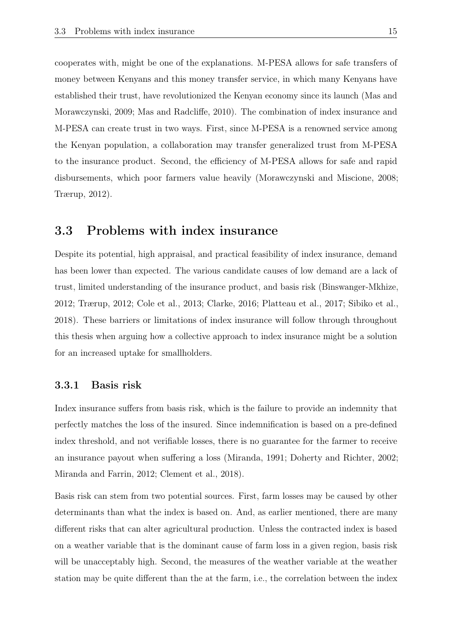cooperates with, might be one of the explanations. M-PESA allows for safe transfers of money between Kenyans and this money transfer service, in which many Kenyans have established their trust, have revolutionized the Kenyan economy since its launch (Mas and Morawczynski, 2009; Mas and Radcliffe, 2010). The combination of index insurance and M-PESA can create trust in two ways. First, since M-PESA is a renowned service among the Kenyan population, a collaboration may transfer generalized trust from M-PESA to the insurance product. Second, the efficiency of M-PESA allows for safe and rapid disbursements, which poor farmers value heavily (Morawczynski and Miscione, 2008; Trærup, 2012).

### 3.3 Problems with index insurance

Despite its potential, high appraisal, and practical feasibility of index insurance, demand has been lower than expected. The various candidate causes of low demand are a lack of trust, limited understanding of the insurance product, and basis risk (Binswanger-Mkhize, 2012; Trærup, 2012; Cole et al., 2013; Clarke, 2016; Platteau et al., 2017; Sibiko et al., 2018). These barriers or limitations of index insurance will follow through throughout this thesis when arguing how a collective approach to index insurance might be a solution for an increased uptake for smallholders.

### 3.3.1 Basis risk

Index insurance suffers from basis risk, which is the failure to provide an indemnity that perfectly matches the loss of the insured. Since indemnification is based on a pre-defined index threshold, and not verifiable losses, there is no guarantee for the farmer to receive an insurance payout when suffering a loss (Miranda, 1991; Doherty and Richter, 2002; Miranda and Farrin, 2012; Clement et al., 2018).

Basis risk can stem from two potential sources. First, farm losses may be caused by other determinants than what the index is based on. And, as earlier mentioned, there are many different risks that can alter agricultural production. Unless the contracted index is based on a weather variable that is the dominant cause of farm loss in a given region, basis risk will be unacceptably high. Second, the measures of the weather variable at the weather station may be quite different than the at the farm, i.e., the correlation between the index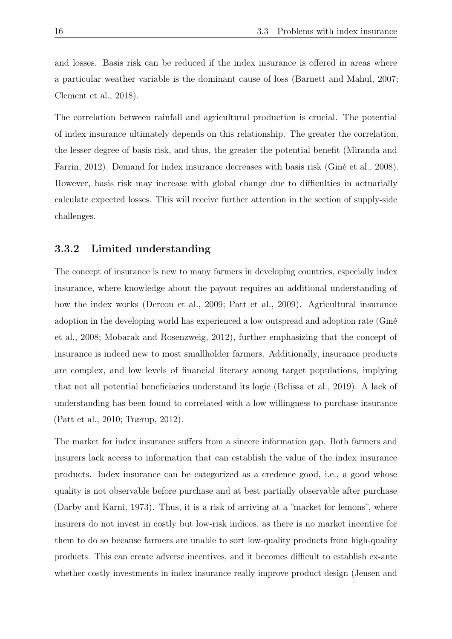and losses. Basis risk can be reduced if the index insurance is offered in areas where a particular weather variable is the dominant cause of loss (Barnett and Mahul, 2007; Clement et al., 2018).

The correlation between rainfall and agricultural production is crucial. The potential of index insurance ultimately depends on this relationship. The greater the correlation, the lesser degree of basis risk, and thus, the greater the potential benefit (Miranda and Farrin, 2012). Demand for index insurance decreases with basis risk (Giné et al., 2008). However, basis risk may increase with global change due to difficulties in actuarially calculate expected losses. This will receive further attention in the section of supply-side challenges.

### 3.3.2 Limited understanding

The concept of insurance is new to many farmers in developing countries, especially index insurance, where knowledge about the payout requires an additional understanding of how the index works (Dercon et al., 2009; Patt et al., 2009). Agricultural insurance adoption in the developing world has experienced a low outspread and adoption rate (Giné et al., 2008; Mobarak and Rosenzweig, 2012), further emphasizing that the concept of insurance is indeed new to most smallholder farmers. Additionally, insurance products are complex, and low levels of financial literacy among target populations, implying that not all potential beneficiaries understand its logic (Belissa et al., 2019). A lack of understanding has been found to correlated with a low willingness to purchase insurance (Patt et al., 2010; Trærup, 2012).

The market for index insurance suffers from a sincere information gap. Both farmers and insurers lack access to information that can establish the value of the index insurance products. Index insurance can be categorized as a credence good, i.e., a good whose quality is not observable before purchase and at best partially observable after purchase (Darby and Karni, 1973). Thus, it is a risk of arriving at a "market for lemons", where insurers do not invest in costly but low-risk indices, as there is no market incentive for them to do so because farmers are unable to sort low-quality products from high-quality products. This can create adverse incentives, and it becomes difficult to establish ex-ante whether costly investments in index insurance really improve product design (Jensen and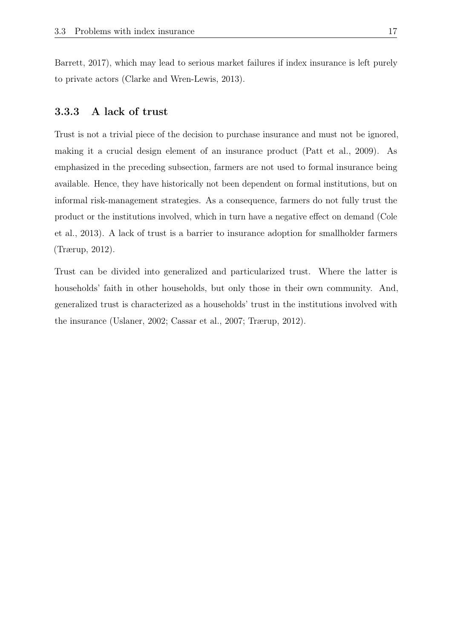Barrett, 2017), which may lead to serious market failures if index insurance is left purely to private actors (Clarke and Wren-Lewis, 2013).

### 3.3.3 A lack of trust

Trust is not a trivial piece of the decision to purchase insurance and must not be ignored, making it a crucial design element of an insurance product (Patt et al., 2009). As emphasized in the preceding subsection, farmers are not used to formal insurance being available. Hence, they have historically not been dependent on formal institutions, but on informal risk-management strategies. As a consequence, farmers do not fully trust the product or the institutions involved, which in turn have a negative effect on demand (Cole et al., 2013). A lack of trust is a barrier to insurance adoption for smallholder farmers (Trærup, 2012).

Trust can be divided into generalized and particularized trust. Where the latter is households' faith in other households, but only those in their own community. And, generalized trust is characterized as a households' trust in the institutions involved with the insurance (Uslaner, 2002; Cassar et al., 2007; Trærup, 2012).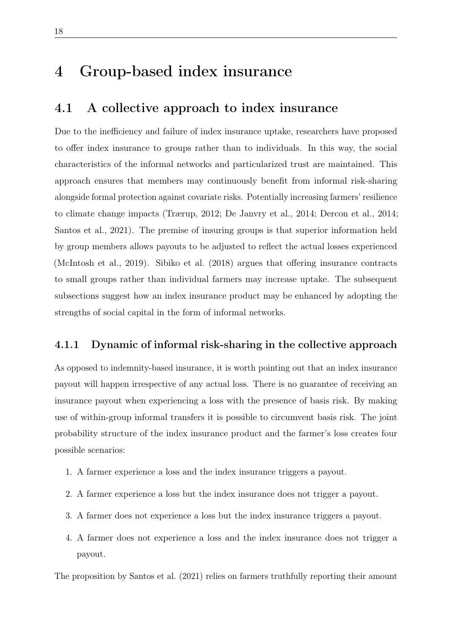# 4 Group-based index insurance

## 4.1 A collective approach to index insurance

Due to the inefficiency and failure of index insurance uptake, researchers have proposed to offer index insurance to groups rather than to individuals. In this way, the social characteristics of the informal networks and particularized trust are maintained. This approach ensures that members may continuously benefit from informal risk-sharing alongside formal protection against covariate risks. Potentially increasing farmers' resilience to climate change impacts (Trærup, 2012; De Janvry et al., 2014; Dercon et al., 2014; Santos et al., 2021). The premise of insuring groups is that superior information held by group members allows payouts to be adjusted to reflect the actual losses experienced (McIntosh et al., 2019). Sibiko et al. (2018) argues that offering insurance contracts to small groups rather than individual farmers may increase uptake. The subsequent subsections suggest how an index insurance product may be enhanced by adopting the strengths of social capital in the form of informal networks.

### 4.1.1 Dynamic of informal risk-sharing in the collective approach

As opposed to indemnity-based insurance, it is worth pointing out that an index insurance payout will happen irrespective of any actual loss. There is no guarantee of receiving an insurance payout when experiencing a loss with the presence of basis risk. By making use of within-group informal transfers it is possible to circumvent basis risk. The joint probability structure of the index insurance product and the farmer's loss creates four possible scenarios:

- 1. A farmer experience a loss and the index insurance triggers a payout.
- 2. A farmer experience a loss but the index insurance does not trigger a payout.
- 3. A farmer does not experience a loss but the index insurance triggers a payout.
- 4. A farmer does not experience a loss and the index insurance does not trigger a payout.

The proposition by Santos et al. (2021) relies on farmers truthfully reporting their amount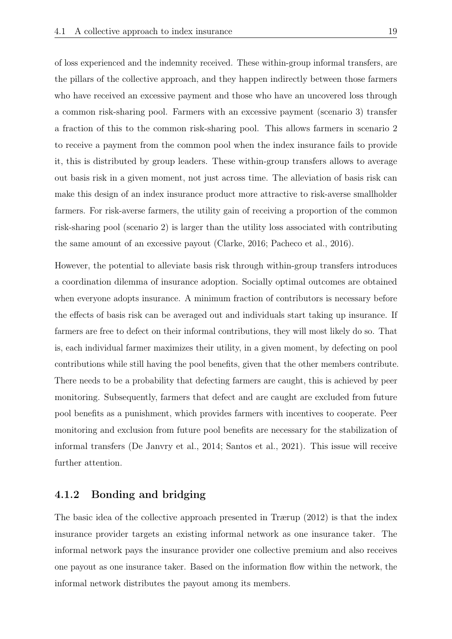of loss experienced and the indemnity received. These within-group informal transfers, are the pillars of the collective approach, and they happen indirectly between those farmers who have received an excessive payment and those who have an uncovered loss through a common risk-sharing pool. Farmers with an excessive payment (scenario 3) transfer a fraction of this to the common risk-sharing pool. This allows farmers in scenario 2 to receive a payment from the common pool when the index insurance fails to provide it, this is distributed by group leaders. These within-group transfers allows to average out basis risk in a given moment, not just across time. The alleviation of basis risk can make this design of an index insurance product more attractive to risk-averse smallholder farmers. For risk-averse farmers, the utility gain of receiving a proportion of the common risk-sharing pool (scenario 2) is larger than the utility loss associated with contributing the same amount of an excessive payout (Clarke, 2016; Pacheco et al., 2016).

However, the potential to alleviate basis risk through within-group transfers introduces a coordination dilemma of insurance adoption. Socially optimal outcomes are obtained when everyone adopts insurance. A minimum fraction of contributors is necessary before the effects of basis risk can be averaged out and individuals start taking up insurance. If farmers are free to defect on their informal contributions, they will most likely do so. That is, each individual farmer maximizes their utility, in a given moment, by defecting on pool contributions while still having the pool benefits, given that the other members contribute. There needs to be a probability that defecting farmers are caught, this is achieved by peer monitoring. Subsequently, farmers that defect and are caught are excluded from future pool benefits as a punishment, which provides farmers with incentives to cooperate. Peer monitoring and exclusion from future pool benefits are necessary for the stabilization of informal transfers (De Janvry et al., 2014; Santos et al., 2021). This issue will receive further attention.

### 4.1.2 Bonding and bridging

The basic idea of the collective approach presented in Trærup (2012) is that the index insurance provider targets an existing informal network as one insurance taker. The informal network pays the insurance provider one collective premium and also receives one payout as one insurance taker. Based on the information flow within the network, the informal network distributes the payout among its members.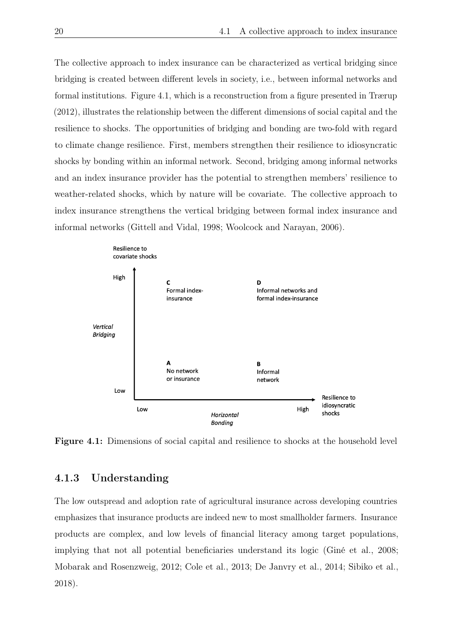The collective approach to index insurance can be characterized as vertical bridging since bridging is created between different levels in society, i.e., between informal networks and formal institutions. Figure 4.1, which is a reconstruction from a figure presented in Trærup (2012), illustrates the relationship between the different dimensions of social capital and the resilience to shocks. The opportunities of bridging and bonding are two-fold with regard to climate change resilience. First, members strengthen their resilience to idiosyncratic shocks by bonding within an informal network. Second, bridging among informal networks and an index insurance provider has the potential to strengthen members' resilience to weather-related shocks, which by nature will be covariate. The collective approach to index insurance strengthens the vertical bridging between formal index insurance and informal networks (Gittell and Vidal, 1998; Woolcock and Narayan, 2006).



Figure 4.1: Dimensions of social capital and resilience to shocks at the household level

### 4.1.3 Understanding

The low outspread and adoption rate of agricultural insurance across developing countries emphasizes that insurance products are indeed new to most smallholder farmers. Insurance products are complex, and low levels of financial literacy among target populations, implying that not all potential beneficiaries understand its logic (Giné et al., 2008; Mobarak and Rosenzweig, 2012; Cole et al., 2013; De Janvry et al., 2014; Sibiko et al., 2018).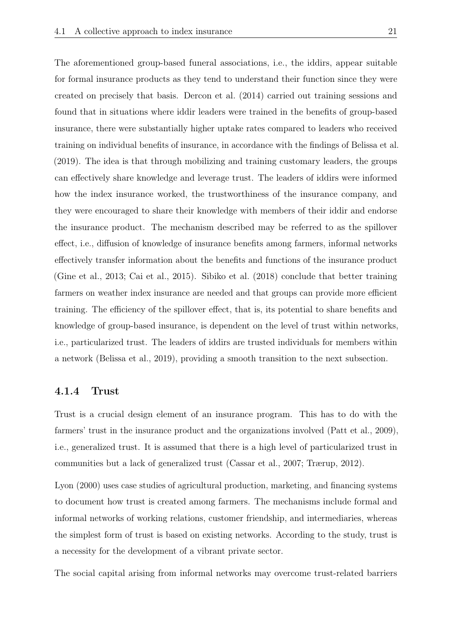The aforementioned group-based funeral associations, i.e., the iddirs, appear suitable for formal insurance products as they tend to understand their function since they were created on precisely that basis. Dercon et al. (2014) carried out training sessions and found that in situations where iddir leaders were trained in the benefits of group-based insurance, there were substantially higher uptake rates compared to leaders who received training on individual benefits of insurance, in accordance with the findings of Belissa et al. (2019). The idea is that through mobilizing and training customary leaders, the groups can effectively share knowledge and leverage trust. The leaders of iddirs were informed how the index insurance worked, the trustworthiness of the insurance company, and they were encouraged to share their knowledge with members of their iddir and endorse the insurance product. The mechanism described may be referred to as the spillover effect, i.e., diffusion of knowledge of insurance benefits among farmers, informal networks effectively transfer information about the benefits and functions of the insurance product (Gine et al., 2013; Cai et al., 2015). Sibiko et al. (2018) conclude that better training farmers on weather index insurance are needed and that groups can provide more efficient training. The efficiency of the spillover effect, that is, its potential to share benefits and knowledge of group-based insurance, is dependent on the level of trust within networks, i.e., particularized trust. The leaders of iddirs are trusted individuals for members within a network (Belissa et al., 2019), providing a smooth transition to the next subsection.

#### 4.1.4 Trust

Trust is a crucial design element of an insurance program. This has to do with the farmers' trust in the insurance product and the organizations involved (Patt et al., 2009), i.e., generalized trust. It is assumed that there is a high level of particularized trust in communities but a lack of generalized trust (Cassar et al., 2007; Trærup, 2012).

Lyon (2000) uses case studies of agricultural production, marketing, and financing systems to document how trust is created among farmers. The mechanisms include formal and informal networks of working relations, customer friendship, and intermediaries, whereas the simplest form of trust is based on existing networks. According to the study, trust is a necessity for the development of a vibrant private sector.

The social capital arising from informal networks may overcome trust-related barriers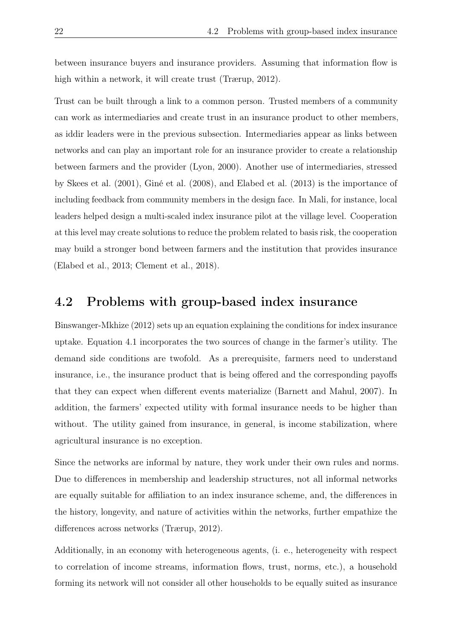between insurance buyers and insurance providers. Assuming that information flow is high within a network, it will create trust (Trærup, 2012).

Trust can be built through a link to a common person. Trusted members of a community can work as intermediaries and create trust in an insurance product to other members, as iddir leaders were in the previous subsection. Intermediaries appear as links between networks and can play an important role for an insurance provider to create a relationship between farmers and the provider (Lyon, 2000). Another use of intermediaries, stressed by Skees et al. (2001), Giné et al. (2008), and Elabed et al. (2013) is the importance of including feedback from community members in the design face. In Mali, for instance, local leaders helped design a multi-scaled index insurance pilot at the village level. Cooperation at this level may create solutions to reduce the problem related to basis risk, the cooperation may build a stronger bond between farmers and the institution that provides insurance (Elabed et al., 2013; Clement et al., 2018).

### 4.2 Problems with group-based index insurance

Binswanger-Mkhize (2012) sets up an equation explaining the conditions for index insurance uptake. Equation 4.1 incorporates the two sources of change in the farmer's utility. The demand side conditions are twofold. As a prerequisite, farmers need to understand insurance, i.e., the insurance product that is being offered and the corresponding payoffs that they can expect when different events materialize (Barnett and Mahul, 2007). In addition, the farmers' expected utility with formal insurance needs to be higher than without. The utility gained from insurance, in general, is income stabilization, where agricultural insurance is no exception.

Since the networks are informal by nature, they work under their own rules and norms. Due to differences in membership and leadership structures, not all informal networks are equally suitable for affiliation to an index insurance scheme, and, the differences in the history, longevity, and nature of activities within the networks, further empathize the differences across networks (Trærup, 2012).

Additionally, in an economy with heterogeneous agents, (i. e., heterogeneity with respect to correlation of income streams, information flows, trust, norms, etc.), a household forming its network will not consider all other households to be equally suited as insurance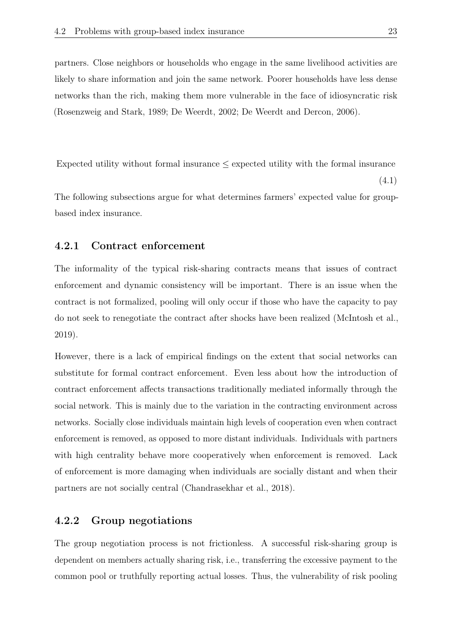partners. Close neighbors or households who engage in the same livelihood activities are likely to share information and join the same network. Poorer households have less dense networks than the rich, making them more vulnerable in the face of idiosyncratic risk (Rosenzweig and Stark, 1989; De Weerdt, 2002; De Weerdt and Dercon, 2006).

Expected utility without formal insurance  $\leq$  expected utility with the formal insurance

The following subsections argue for what determines farmers' expected value for groupbased index insurance.

### 4.2.1 Contract enforcement

The informality of the typical risk-sharing contracts means that issues of contract enforcement and dynamic consistency will be important. There is an issue when the contract is not formalized, pooling will only occur if those who have the capacity to pay do not seek to renegotiate the contract after shocks have been realized (McIntosh et al., 2019).

However, there is a lack of empirical findings on the extent that social networks can substitute for formal contract enforcement. Even less about how the introduction of contract enforcement affects transactions traditionally mediated informally through the social network. This is mainly due to the variation in the contracting environment across networks. Socially close individuals maintain high levels of cooperation even when contract enforcement is removed, as opposed to more distant individuals. Individuals with partners with high centrality behave more cooperatively when enforcement is removed. Lack of enforcement is more damaging when individuals are socially distant and when their partners are not socially central (Chandrasekhar et al., 2018).

### 4.2.2 Group negotiations

The group negotiation process is not frictionless. A successful risk-sharing group is dependent on members actually sharing risk, i.e., transferring the excessive payment to the common pool or truthfully reporting actual losses. Thus, the vulnerability of risk pooling

(4.1)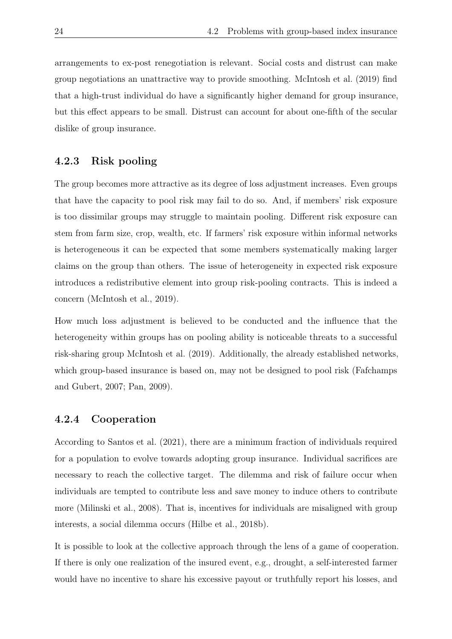arrangements to ex-post renegotiation is relevant. Social costs and distrust can make group negotiations an unattractive way to provide smoothing. McIntosh et al. (2019) find that a high-trust individual do have a significantly higher demand for group insurance, but this effect appears to be small. Distrust can account for about one-fifth of the secular dislike of group insurance.

### 4.2.3 Risk pooling

The group becomes more attractive as its degree of loss adjustment increases. Even groups that have the capacity to pool risk may fail to do so. And, if members' risk exposure is too dissimilar groups may struggle to maintain pooling. Different risk exposure can stem from farm size, crop, wealth, etc. If farmers' risk exposure within informal networks is heterogeneous it can be expected that some members systematically making larger claims on the group than others. The issue of heterogeneity in expected risk exposure introduces a redistributive element into group risk-pooling contracts. This is indeed a concern (McIntosh et al., 2019).

How much loss adjustment is believed to be conducted and the influence that the heterogeneity within groups has on pooling ability is noticeable threats to a successful risk-sharing group McIntosh et al. (2019). Additionally, the already established networks, which group-based insurance is based on, may not be designed to pool risk (Fafchamps and Gubert, 2007; Pan, 2009).

#### 4.2.4 Cooperation

According to Santos et al. (2021), there are a minimum fraction of individuals required for a population to evolve towards adopting group insurance. Individual sacrifices are necessary to reach the collective target. The dilemma and risk of failure occur when individuals are tempted to contribute less and save money to induce others to contribute more (Milinski et al., 2008). That is, incentives for individuals are misaligned with group interests, a social dilemma occurs (Hilbe et al., 2018b).

It is possible to look at the collective approach through the lens of a game of cooperation. If there is only one realization of the insured event, e.g., drought, a self-interested farmer would have no incentive to share his excessive payout or truthfully report his losses, and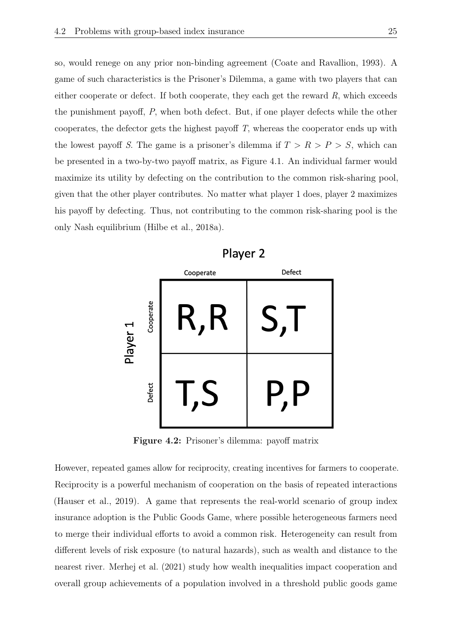so, would renege on any prior non-binding agreement (Coate and Ravallion, 1993). A game of such characteristics is the Prisoner's Dilemma, a game with two players that can either cooperate or defect. If both cooperate, they each get the reward *R*, which exceeds the punishment payoff, *P*, when both defect. But, if one player defects while the other cooperates, the defector gets the highest payoff *T*, whereas the cooperator ends up with the lowest payoff *S*. The game is a prisoner's dilemma if  $T > R > P > S$ , which can be presented in a two-by-two payoff matrix, as Figure 4.1. An individual farmer would maximize its utility by defecting on the contribution to the common risk-sharing pool, given that the other player contributes. No matter what player 1 does, player 2 maximizes his payoff by defecting. Thus, not contributing to the common risk-sharing pool is the only Nash equilibrium (Hilbe et al., 2018a).



Figure 4.2: Prisoner's dilemma: payoff matrix

However, repeated games allow for reciprocity, creating incentives for farmers to cooperate. Reciprocity is a powerful mechanism of cooperation on the basis of repeated interactions (Hauser et al., 2019). A game that represents the real-world scenario of group index insurance adoption is the Public Goods Game, where possible heterogeneous farmers need to merge their individual efforts to avoid a common risk. Heterogeneity can result from different levels of risk exposure (to natural hazards), such as wealth and distance to the nearest river. Merhej et al. (2021) study how wealth inequalities impact cooperation and overall group achievements of a population involved in a threshold public goods game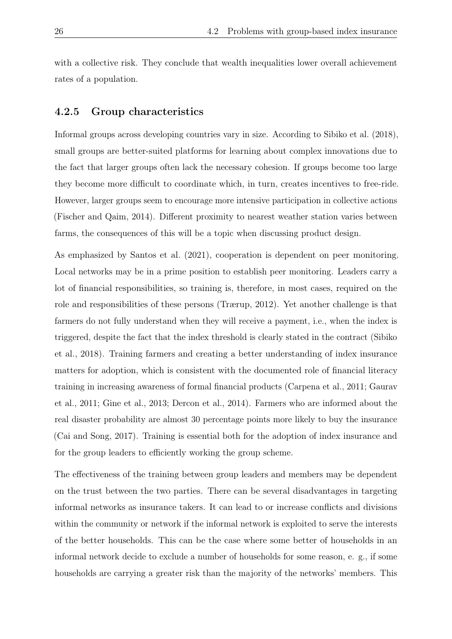with a collective risk. They conclude that wealth inequalities lower overall achievement rates of a population.

### 4.2.5 Group characteristics

Informal groups across developing countries vary in size. According to Sibiko et al. (2018), small groups are better-suited platforms for learning about complex innovations due to the fact that larger groups often lack the necessary cohesion. If groups become too large they become more difficult to coordinate which, in turn, creates incentives to free-ride. However, larger groups seem to encourage more intensive participation in collective actions (Fischer and Qaim, 2014). Different proximity to nearest weather station varies between farms, the consequences of this will be a topic when discussing product design.

As emphasized by Santos et al. (2021), cooperation is dependent on peer monitoring. Local networks may be in a prime position to establish peer monitoring. Leaders carry a lot of financial responsibilities, so training is, therefore, in most cases, required on the role and responsibilities of these persons (Trærup, 2012). Yet another challenge is that farmers do not fully understand when they will receive a payment, i.e., when the index is triggered, despite the fact that the index threshold is clearly stated in the contract (Sibiko et al., 2018). Training farmers and creating a better understanding of index insurance matters for adoption, which is consistent with the documented role of financial literacy training in increasing awareness of formal financial products (Carpena et al., 2011; Gaurav et al., 2011; Gine et al., 2013; Dercon et al., 2014). Farmers who are informed about the real disaster probability are almost 30 percentage points more likely to buy the insurance (Cai and Song, 2017). Training is essential both for the adoption of index insurance and for the group leaders to efficiently working the group scheme.

The effectiveness of the training between group leaders and members may be dependent on the trust between the two parties. There can be several disadvantages in targeting informal networks as insurance takers. It can lead to or increase conflicts and divisions within the community or network if the informal network is exploited to serve the interests of the better households. This can be the case where some better of households in an informal network decide to exclude a number of households for some reason, e. g., if some households are carrying a greater risk than the majority of the networks' members. This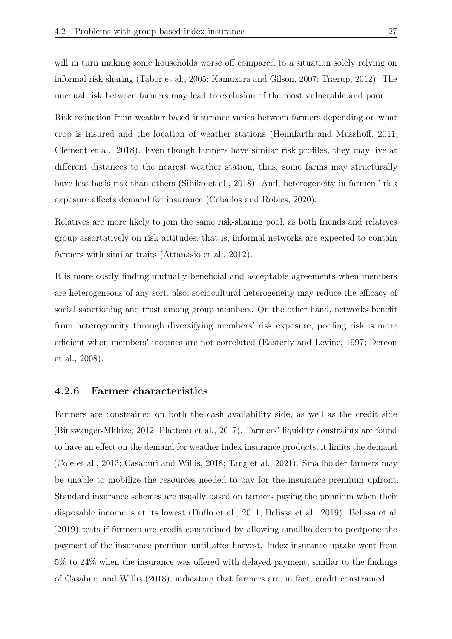will in turn making some households worse off compared to a situation solely relying on informal risk-sharing (Tabor et al., 2005; Kamuzora and Gilson, 2007; Trærup, 2012). The unequal risk between farmers may lead to exclusion of the most vulnerable and poor.

Risk reduction from weather-based insurance varies between farmers depending on what crop is insured and the location of weather stations (Heimfarth and Musshoff, 2011; Clement et al., 2018). Even though farmers have similar risk profiles, they may live at different distances to the nearest weather station, thus, some farms may structurally have less basis risk than others (Sibiko et al., 2018). And, heterogeneity in farmers' risk exposure affects demand for insurance (Ceballos and Robles, 2020).

Relatives are more likely to join the same risk-sharing pool, as both friends and relatives group assortatively on risk attitudes, that is, informal networks are expected to contain farmers with similar traits (Attanasio et al., 2012).

It is more costly finding mutually beneficial and acceptable agreements when members are heterogeneous of any sort, also, sociocultural heterogeneity may reduce the efficacy of social sanctioning and trust among group members. On the other hand, networks benefit from heterogeneity through diversifying members' risk exposure, pooling risk is more efficient when members' incomes are not correlated (Easterly and Levine, 1997; Dercon et al., 2008).

#### 4.2.6 Farmer characteristics

Farmers are constrained on both the cash availability side, as well as the credit side (Binswanger-Mkhize, 2012; Platteau et al., 2017). Farmers' liquidity constraints are found to have an effect on the demand for weather index insurance products, it limits the demand (Cole et al., 2013; Casaburi and Willis, 2018; Tang et al., 2021). Smallholder farmers may be unable to mobilize the resources needed to pay for the insurance premium upfront. Standard insurance schemes are usually based on farmers paying the premium when their disposable income is at its lowest (Duflo et al., 2011; Belissa et al., 2019). Belissa et al. (2019) tests if farmers are credit constrained by allowing smallholders to postpone the payment of the insurance premium until after harvest. Index insurance uptake went from 5% to 24% when the insurance was offered with delayed payment, similar to the findings of Casaburi and Willis (2018), indicating that farmers are, in fact, credit constrained.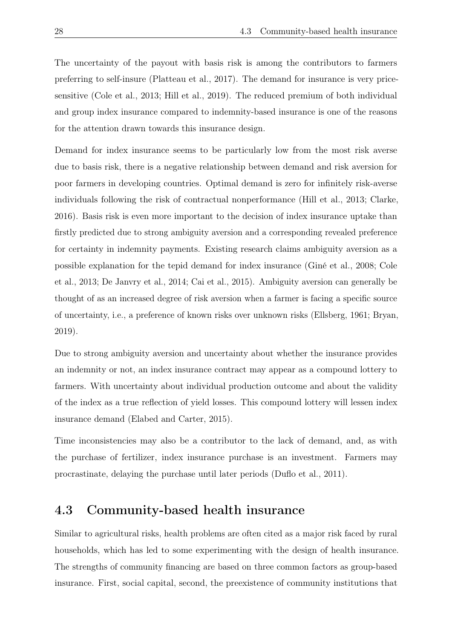The uncertainty of the payout with basis risk is among the contributors to farmers preferring to self-insure (Platteau et al., 2017). The demand for insurance is very pricesensitive (Cole et al., 2013; Hill et al., 2019). The reduced premium of both individual and group index insurance compared to indemnity-based insurance is one of the reasons for the attention drawn towards this insurance design.

Demand for index insurance seems to be particularly low from the most risk averse due to basis risk, there is a negative relationship between demand and risk aversion for poor farmers in developing countries. Optimal demand is zero for infinitely risk-averse individuals following the risk of contractual nonperformance (Hill et al., 2013; Clarke, 2016). Basis risk is even more important to the decision of index insurance uptake than firstly predicted due to strong ambiguity aversion and a corresponding revealed preference for certainty in indemnity payments. Existing research claims ambiguity aversion as a possible explanation for the tepid demand for index insurance (Giné et al., 2008; Cole et al., 2013; De Janvry et al., 2014; Cai et al., 2015). Ambiguity aversion can generally be thought of as an increased degree of risk aversion when a farmer is facing a specific source of uncertainty, i.e., a preference of known risks over unknown risks (Ellsberg, 1961; Bryan, 2019).

Due to strong ambiguity aversion and uncertainty about whether the insurance provides an indemnity or not, an index insurance contract may appear as a compound lottery to farmers. With uncertainty about individual production outcome and about the validity of the index as a true reflection of yield losses. This compound lottery will lessen index insurance demand (Elabed and Carter, 2015).

Time inconsistencies may also be a contributor to the lack of demand, and, as with the purchase of fertilizer, index insurance purchase is an investment. Farmers may procrastinate, delaying the purchase until later periods (Duflo et al., 2011).

## 4.3 Community-based health insurance

Similar to agricultural risks, health problems are often cited as a major risk faced by rural households, which has led to some experimenting with the design of health insurance. The strengths of community financing are based on three common factors as group-based insurance. First, social capital, second, the preexistence of community institutions that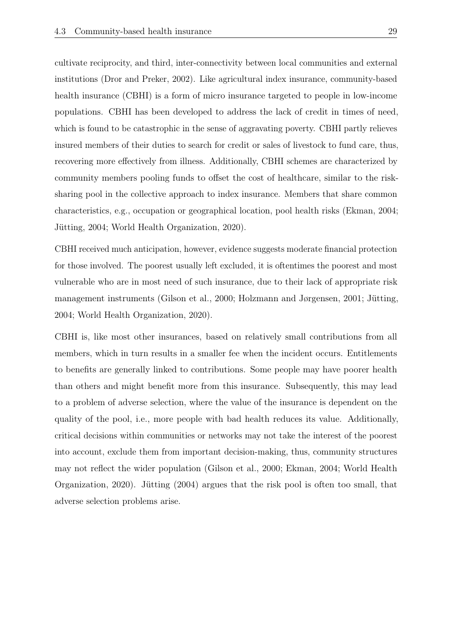cultivate reciprocity, and third, inter-connectivity between local communities and external institutions (Dror and Preker, 2002). Like agricultural index insurance, community-based health insurance (CBHI) is a form of micro insurance targeted to people in low-income populations. CBHI has been developed to address the lack of credit in times of need, which is found to be catastrophic in the sense of aggravating poverty. CBHI partly relieves insured members of their duties to search for credit or sales of livestock to fund care, thus, recovering more effectively from illness. Additionally, CBHI schemes are characterized by community members pooling funds to offset the cost of healthcare, similar to the risksharing pool in the collective approach to index insurance. Members that share common characteristics, e.g., occupation or geographical location, pool health risks (Ekman, 2004; Jütting, 2004; World Health Organization, 2020).

CBHI received much anticipation, however, evidence suggests moderate financial protection for those involved. The poorest usually left excluded, it is oftentimes the poorest and most vulnerable who are in most need of such insurance, due to their lack of appropriate risk management instruments (Gilson et al., 2000; Holzmann and Jørgensen, 2001; Jütting, 2004; World Health Organization, 2020).

CBHI is, like most other insurances, based on relatively small contributions from all members, which in turn results in a smaller fee when the incident occurs. Entitlements to benefits are generally linked to contributions. Some people may have poorer health than others and might benefit more from this insurance. Subsequently, this may lead to a problem of adverse selection, where the value of the insurance is dependent on the quality of the pool, i.e., more people with bad health reduces its value. Additionally, critical decisions within communities or networks may not take the interest of the poorest into account, exclude them from important decision-making, thus, community structures may not reflect the wider population (Gilson et al., 2000; Ekman, 2004; World Health Organization, 2020). Jütting (2004) argues that the risk pool is often too small, that adverse selection problems arise.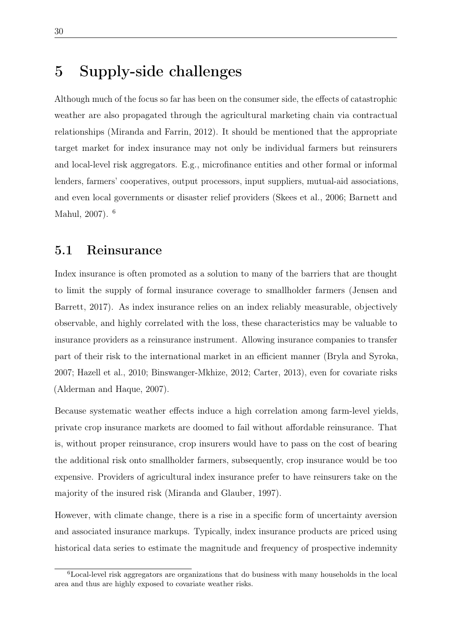# 5 Supply-side challenges

Although much of the focus so far has been on the consumer side, the effects of catastrophic weather are also propagated through the agricultural marketing chain via contractual relationships (Miranda and Farrin, 2012). It should be mentioned that the appropriate target market for index insurance may not only be individual farmers but reinsurers and local-level risk aggregators. E.g., microfinance entities and other formal or informal lenders, farmers' cooperatives, output processors, input suppliers, mutual-aid associations, and even local governments or disaster relief providers (Skees et al., 2006; Barnett and Mahul, 2007). <sup>6</sup>

### 5.1 Reinsurance

Index insurance is often promoted as a solution to many of the barriers that are thought to limit the supply of formal insurance coverage to smallholder farmers (Jensen and Barrett, 2017). As index insurance relies on an index reliably measurable, objectively observable, and highly correlated with the loss, these characteristics may be valuable to insurance providers as a reinsurance instrument. Allowing insurance companies to transfer part of their risk to the international market in an efficient manner (Bryla and Syroka, 2007; Hazell et al., 2010; Binswanger-Mkhize, 2012; Carter, 2013), even for covariate risks (Alderman and Haque, 2007).

Because systematic weather effects induce a high correlation among farm-level yields, private crop insurance markets are doomed to fail without affordable reinsurance. That is, without proper reinsurance, crop insurers would have to pass on the cost of bearing the additional risk onto smallholder farmers, subsequently, crop insurance would be too expensive. Providers of agricultural index insurance prefer to have reinsurers take on the majority of the insured risk (Miranda and Glauber, 1997).

However, with climate change, there is a rise in a specific form of uncertainty aversion and associated insurance markups. Typically, index insurance products are priced using historical data series to estimate the magnitude and frequency of prospective indemnity

<sup>6</sup>Local-level risk aggregators are organizations that do business with many households in the local area and thus are highly exposed to covariate weather risks.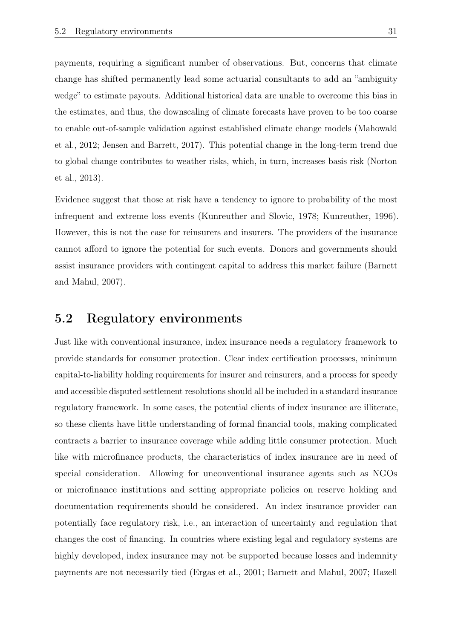payments, requiring a significant number of observations. But, concerns that climate change has shifted permanently lead some actuarial consultants to add an "ambiguity wedge" to estimate payouts. Additional historical data are unable to overcome this bias in the estimates, and thus, the downscaling of climate forecasts have proven to be too coarse to enable out-of-sample validation against established climate change models (Mahowald et al., 2012; Jensen and Barrett, 2017). This potential change in the long-term trend due to global change contributes to weather risks, which, in turn, increases basis risk (Norton et al., 2013).

Evidence suggest that those at risk have a tendency to ignore to probability of the most infrequent and extreme loss events (Kunreuther and Slovic, 1978; Kunreuther, 1996). However, this is not the case for reinsurers and insurers. The providers of the insurance cannot afford to ignore the potential for such events. Donors and governments should assist insurance providers with contingent capital to address this market failure (Barnett and Mahul, 2007).

### 5.2 Regulatory environments

Just like with conventional insurance, index insurance needs a regulatory framework to provide standards for consumer protection. Clear index certification processes, minimum capital-to-liability holding requirements for insurer and reinsurers, and a process for speedy and accessible disputed settlement resolutions should all be included in a standard insurance regulatory framework. In some cases, the potential clients of index insurance are illiterate, so these clients have little understanding of formal financial tools, making complicated contracts a barrier to insurance coverage while adding little consumer protection. Much like with microfinance products, the characteristics of index insurance are in need of special consideration. Allowing for unconventional insurance agents such as NGOs or microfinance institutions and setting appropriate policies on reserve holding and documentation requirements should be considered. An index insurance provider can potentially face regulatory risk, i.e., an interaction of uncertainty and regulation that changes the cost of financing. In countries where existing legal and regulatory systems are highly developed, index insurance may not be supported because losses and indemnity payments are not necessarily tied (Ergas et al., 2001; Barnett and Mahul, 2007; Hazell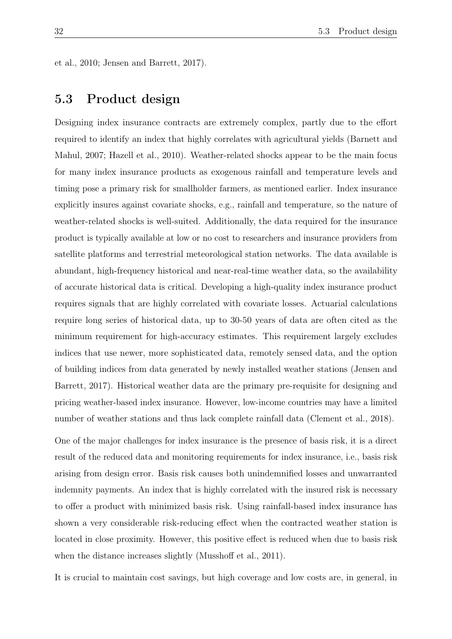et al., 2010; Jensen and Barrett, 2017).

# 5.3 Product design

Designing index insurance contracts are extremely complex, partly due to the effort required to identify an index that highly correlates with agricultural yields (Barnett and Mahul, 2007; Hazell et al., 2010). Weather-related shocks appear to be the main focus for many index insurance products as exogenous rainfall and temperature levels and timing pose a primary risk for smallholder farmers, as mentioned earlier. Index insurance explicitly insures against covariate shocks, e.g., rainfall and temperature, so the nature of weather-related shocks is well-suited. Additionally, the data required for the insurance product is typically available at low or no cost to researchers and insurance providers from satellite platforms and terrestrial meteorological station networks. The data available is abundant, high-frequency historical and near-real-time weather data, so the availability of accurate historical data is critical. Developing a high-quality index insurance product requires signals that are highly correlated with covariate losses. Actuarial calculations require long series of historical data, up to 30-50 years of data are often cited as the minimum requirement for high-accuracy estimates. This requirement largely excludes indices that use newer, more sophisticated data, remotely sensed data, and the option of building indices from data generated by newly installed weather stations (Jensen and Barrett, 2017). Historical weather data are the primary pre-requisite for designing and pricing weather-based index insurance. However, low-income countries may have a limited number of weather stations and thus lack complete rainfall data (Clement et al., 2018).

One of the major challenges for index insurance is the presence of basis risk, it is a direct result of the reduced data and monitoring requirements for index insurance, i.e., basis risk arising from design error. Basis risk causes both unindemnified losses and unwarranted indemnity payments. An index that is highly correlated with the insured risk is necessary to offer a product with minimized basis risk. Using rainfall-based index insurance has shown a very considerable risk-reducing effect when the contracted weather station is located in close proximity. However, this positive effect is reduced when due to basis risk when the distance increases slightly (Musshoff et al., 2011).

It is crucial to maintain cost savings, but high coverage and low costs are, in general, in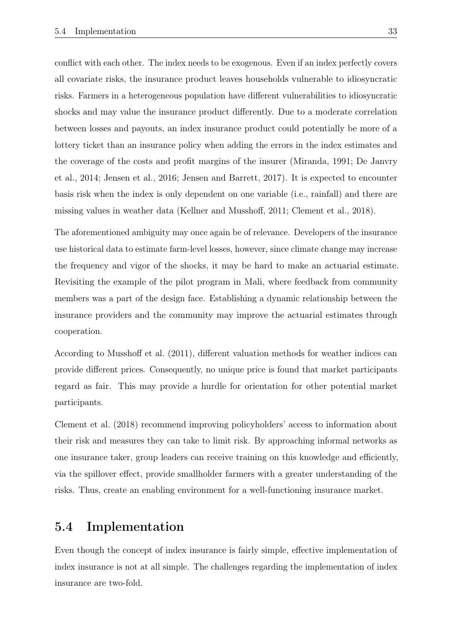conflict with each other. The index needs to be exogenous. Even if an index perfectly covers all covariate risks, the insurance product leaves households vulnerable to idiosyncratic risks. Farmers in a heterogeneous population have different vulnerabilities to idiosyncratic shocks and may value the insurance product differently. Due to a moderate correlation between losses and payouts, an index insurance product could potentially be more of a lottery ticket than an insurance policy when adding the errors in the index estimates and the coverage of the costs and profit margins of the insurer (Miranda, 1991; De Janvry et al., 2014; Jensen et al., 2016; Jensen and Barrett, 2017). It is expected to encounter basis risk when the index is only dependent on one variable (i.e., rainfall) and there are missing values in weather data (Kellner and Musshoff, 2011; Clement et al., 2018).

The aforementioned ambiguity may once again be of relevance. Developers of the insurance use historical data to estimate farm-level losses, however, since climate change may increase the frequency and vigor of the shocks, it may be hard to make an actuarial estimate. Revisiting the example of the pilot program in Mali, where feedback from community members was a part of the design face. Establishing a dynamic relationship between the insurance providers and the community may improve the actuarial estimates through cooperation.

According to Musshoff et al. (2011), different valuation methods for weather indices can provide different prices. Consequently, no unique price is found that market participants regard as fair. This may provide a hurdle for orientation for other potential market participants.

Clement et al. (2018) recommend improving policyholders' access to information about their risk and measures they can take to limit risk. By approaching informal networks as one insurance taker, group leaders can receive training on this knowledge and efficiently, via the spillover effect, provide smallholder farmers with a greater understanding of the risks. Thus, create an enabling environment for a well-functioning insurance market.

## 5.4 Implementation

Even though the concept of index insurance is fairly simple, effective implementation of index insurance is not at all simple. The challenges regarding the implementation of index insurance are two-fold.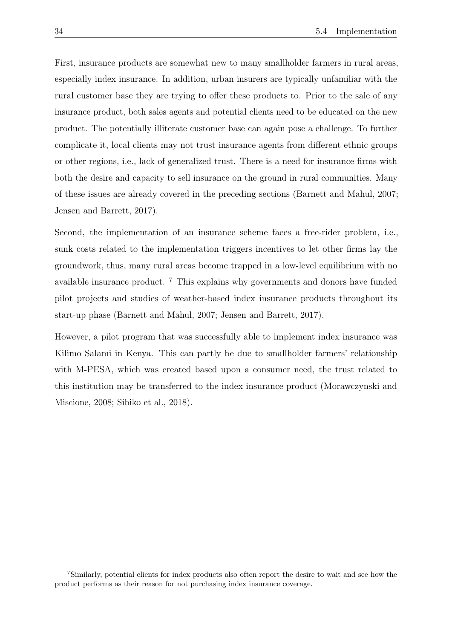First, insurance products are somewhat new to many smallholder farmers in rural areas, especially index insurance. In addition, urban insurers are typically unfamiliar with the rural customer base they are trying to offer these products to. Prior to the sale of any insurance product, both sales agents and potential clients need to be educated on the new product. The potentially illiterate customer base can again pose a challenge. To further complicate it, local clients may not trust insurance agents from different ethnic groups or other regions, i.e., lack of generalized trust. There is a need for insurance firms with both the desire and capacity to sell insurance on the ground in rural communities. Many of these issues are already covered in the preceding sections (Barnett and Mahul, 2007; Jensen and Barrett, 2017).

Second, the implementation of an insurance scheme faces a free-rider problem, i.e., sunk costs related to the implementation triggers incentives to let other firms lay the groundwork, thus, many rural areas become trapped in a low-level equilibrium with no available insurance product. <sup>7</sup> This explains why governments and donors have funded pilot projects and studies of weather-based index insurance products throughout its start-up phase (Barnett and Mahul, 2007; Jensen and Barrett, 2017).

However, a pilot program that was successfully able to implement index insurance was Kilimo Salami in Kenya. This can partly be due to smallholder farmers' relationship with M-PESA, which was created based upon a consumer need, the trust related to this institution may be transferred to the index insurance product (Morawczynski and Miscione, 2008; Sibiko et al., 2018).

<sup>7</sup>Similarly, potential clients for index products also often report the desire to wait and see how the product performs as their reason for not purchasing index insurance coverage.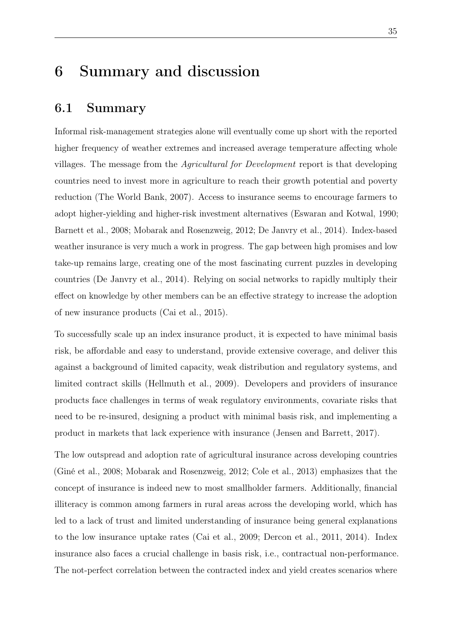# 6 Summary and discussion

### 6.1 Summary

Informal risk-management strategies alone will eventually come up short with the reported higher frequency of weather extremes and increased average temperature affecting whole villages. The message from the *Agricultural for Development* report is that developing countries need to invest more in agriculture to reach their growth potential and poverty reduction (The World Bank, 2007). Access to insurance seems to encourage farmers to adopt higher-yielding and higher-risk investment alternatives (Eswaran and Kotwal, 1990; Barnett et al., 2008; Mobarak and Rosenzweig, 2012; De Janvry et al., 2014). Index-based weather insurance is very much a work in progress. The gap between high promises and low take-up remains large, creating one of the most fascinating current puzzles in developing countries (De Janvry et al., 2014). Relying on social networks to rapidly multiply their effect on knowledge by other members can be an effective strategy to increase the adoption of new insurance products (Cai et al., 2015).

To successfully scale up an index insurance product, it is expected to have minimal basis risk, be affordable and easy to understand, provide extensive coverage, and deliver this against a background of limited capacity, weak distribution and regulatory systems, and limited contract skills (Hellmuth et al., 2009). Developers and providers of insurance products face challenges in terms of weak regulatory environments, covariate risks that need to be re-insured, designing a product with minimal basis risk, and implementing a product in markets that lack experience with insurance (Jensen and Barrett, 2017).

The low outspread and adoption rate of agricultural insurance across developing countries (Giné et al., 2008; Mobarak and Rosenzweig, 2012; Cole et al., 2013) emphasizes that the concept of insurance is indeed new to most smallholder farmers. Additionally, financial illiteracy is common among farmers in rural areas across the developing world, which has led to a lack of trust and limited understanding of insurance being general explanations to the low insurance uptake rates (Cai et al., 2009; Dercon et al., 2011, 2014). Index insurance also faces a crucial challenge in basis risk, i.e., contractual non-performance. The not-perfect correlation between the contracted index and yield creates scenarios where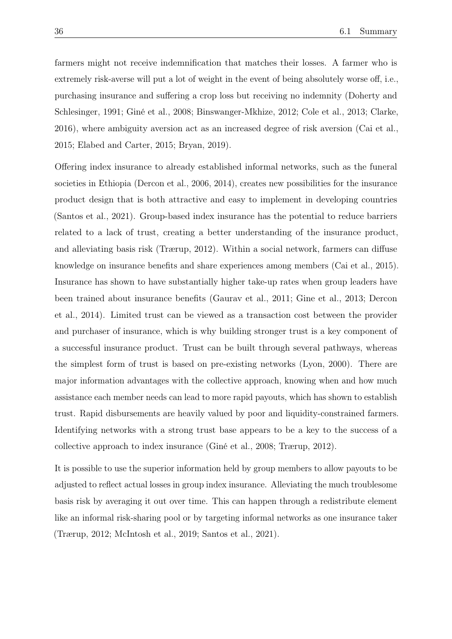farmers might not receive indemnification that matches their losses. A farmer who is extremely risk-averse will put a lot of weight in the event of being absolutely worse off, i.e., purchasing insurance and suffering a crop loss but receiving no indemnity (Doherty and Schlesinger, 1991; Giné et al., 2008; Binswanger-Mkhize, 2012; Cole et al., 2013; Clarke, 2016), where ambiguity aversion act as an increased degree of risk aversion (Cai et al., 2015; Elabed and Carter, 2015; Bryan, 2019).

Offering index insurance to already established informal networks, such as the funeral societies in Ethiopia (Dercon et al., 2006, 2014), creates new possibilities for the insurance product design that is both attractive and easy to implement in developing countries (Santos et al., 2021). Group-based index insurance has the potential to reduce barriers related to a lack of trust, creating a better understanding of the insurance product, and alleviating basis risk (Trærup, 2012). Within a social network, farmers can diffuse knowledge on insurance benefits and share experiences among members (Cai et al., 2015). Insurance has shown to have substantially higher take-up rates when group leaders have been trained about insurance benefits (Gaurav et al., 2011; Gine et al., 2013; Dercon et al., 2014). Limited trust can be viewed as a transaction cost between the provider and purchaser of insurance, which is why building stronger trust is a key component of a successful insurance product. Trust can be built through several pathways, whereas the simplest form of trust is based on pre-existing networks (Lyon, 2000). There are major information advantages with the collective approach, knowing when and how much assistance each member needs can lead to more rapid payouts, which has shown to establish trust. Rapid disbursements are heavily valued by poor and liquidity-constrained farmers. Identifying networks with a strong trust base appears to be a key to the success of a collective approach to index insurance (Giné et al., 2008; Trærup, 2012).

It is possible to use the superior information held by group members to allow payouts to be adjusted to reflect actual losses in group index insurance. Alleviating the much troublesome basis risk by averaging it out over time. This can happen through a redistribute element like an informal risk-sharing pool or by targeting informal networks as one insurance taker (Trærup, 2012; McIntosh et al., 2019; Santos et al., 2021).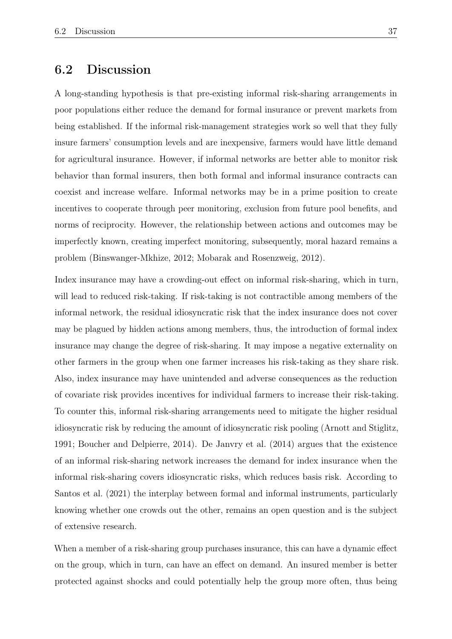## 6.2 Discussion

A long-standing hypothesis is that pre-existing informal risk-sharing arrangements in poor populations either reduce the demand for formal insurance or prevent markets from being established. If the informal risk-management strategies work so well that they fully insure farmers' consumption levels and are inexpensive, farmers would have little demand for agricultural insurance. However, if informal networks are better able to monitor risk behavior than formal insurers, then both formal and informal insurance contracts can coexist and increase welfare. Informal networks may be in a prime position to create incentives to cooperate through peer monitoring, exclusion from future pool benefits, and norms of reciprocity. However, the relationship between actions and outcomes may be imperfectly known, creating imperfect monitoring, subsequently, moral hazard remains a problem (Binswanger-Mkhize, 2012; Mobarak and Rosenzweig, 2012).

Index insurance may have a crowding-out effect on informal risk-sharing, which in turn, will lead to reduced risk-taking. If risk-taking is not contractible among members of the informal network, the residual idiosyncratic risk that the index insurance does not cover may be plagued by hidden actions among members, thus, the introduction of formal index insurance may change the degree of risk-sharing. It may impose a negative externality on other farmers in the group when one farmer increases his risk-taking as they share risk. Also, index insurance may have unintended and adverse consequences as the reduction of covariate risk provides incentives for individual farmers to increase their risk-taking. To counter this, informal risk-sharing arrangements need to mitigate the higher residual idiosyncratic risk by reducing the amount of idiosyncratic risk pooling (Arnott and Stiglitz, 1991; Boucher and Delpierre, 2014). De Janvry et al. (2014) argues that the existence of an informal risk-sharing network increases the demand for index insurance when the informal risk-sharing covers idiosyncratic risks, which reduces basis risk. According to Santos et al. (2021) the interplay between formal and informal instruments, particularly knowing whether one crowds out the other, remains an open question and is the subject of extensive research.

When a member of a risk-sharing group purchases insurance, this can have a dynamic effect on the group, which in turn, can have an effect on demand. An insured member is better protected against shocks and could potentially help the group more often, thus being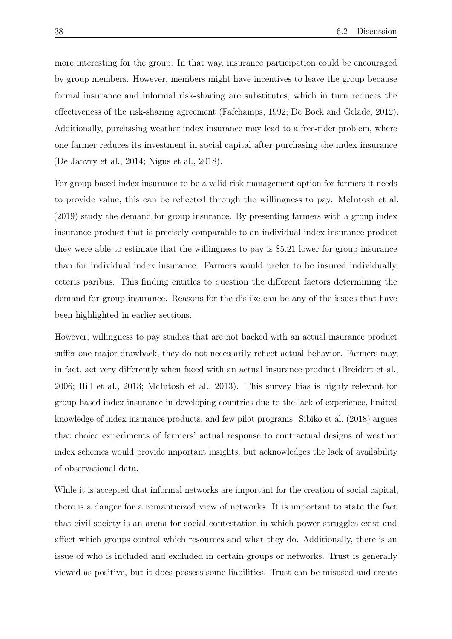more interesting for the group. In that way, insurance participation could be encouraged by group members. However, members might have incentives to leave the group because formal insurance and informal risk-sharing are substitutes, which in turn reduces the effectiveness of the risk-sharing agreement (Fafchamps, 1992; De Bock and Gelade, 2012). Additionally, purchasing weather index insurance may lead to a free-rider problem, where one farmer reduces its investment in social capital after purchasing the index insurance (De Janvry et al., 2014; Nigus et al., 2018).

For group-based index insurance to be a valid risk-management option for farmers it needs to provide value, this can be reflected through the willingness to pay. McIntosh et al. (2019) study the demand for group insurance. By presenting farmers with a group index insurance product that is precisely comparable to an individual index insurance product they were able to estimate that the willingness to pay is \$5.21 lower for group insurance than for individual index insurance. Farmers would prefer to be insured individually, ceteris paribus. This finding entitles to question the different factors determining the demand for group insurance. Reasons for the dislike can be any of the issues that have been highlighted in earlier sections.

However, willingness to pay studies that are not backed with an actual insurance product suffer one major drawback, they do not necessarily reflect actual behavior. Farmers may, in fact, act very differently when faced with an actual insurance product (Breidert et al., 2006; Hill et al., 2013; McIntosh et al., 2013). This survey bias is highly relevant for group-based index insurance in developing countries due to the lack of experience, limited knowledge of index insurance products, and few pilot programs. Sibiko et al. (2018) argues that choice experiments of farmers' actual response to contractual designs of weather index schemes would provide important insights, but acknowledges the lack of availability of observational data.

While it is accepted that informal networks are important for the creation of social capital, there is a danger for a romanticized view of networks. It is important to state the fact that civil society is an arena for social contestation in which power struggles exist and affect which groups control which resources and what they do. Additionally, there is an issue of who is included and excluded in certain groups or networks. Trust is generally viewed as positive, but it does possess some liabilities. Trust can be misused and create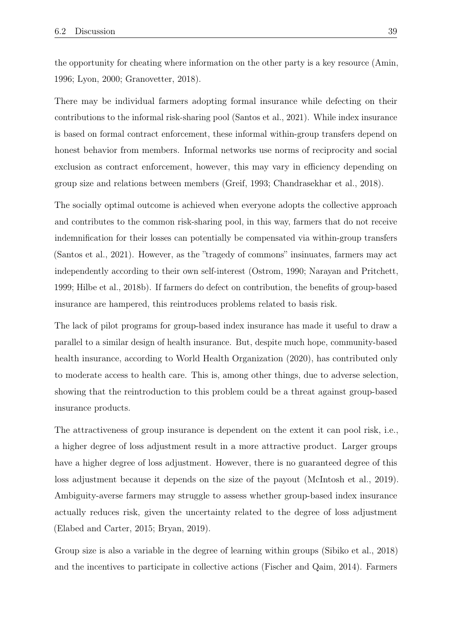the opportunity for cheating where information on the other party is a key resource (Amin, 1996; Lyon, 2000; Granovetter, 2018).

There may be individual farmers adopting formal insurance while defecting on their contributions to the informal risk-sharing pool (Santos et al., 2021). While index insurance is based on formal contract enforcement, these informal within-group transfers depend on honest behavior from members. Informal networks use norms of reciprocity and social exclusion as contract enforcement, however, this may vary in efficiency depending on group size and relations between members (Greif, 1993; Chandrasekhar et al., 2018).

The socially optimal outcome is achieved when everyone adopts the collective approach and contributes to the common risk-sharing pool, in this way, farmers that do not receive indemnification for their losses can potentially be compensated via within-group transfers (Santos et al., 2021). However, as the "tragedy of commons" insinuates, farmers may act independently according to their own self-interest (Ostrom, 1990; Narayan and Pritchett, 1999; Hilbe et al., 2018b). If farmers do defect on contribution, the benefits of group-based insurance are hampered, this reintroduces problems related to basis risk.

The lack of pilot programs for group-based index insurance has made it useful to draw a parallel to a similar design of health insurance. But, despite much hope, community-based health insurance, according to World Health Organization (2020), has contributed only to moderate access to health care. This is, among other things, due to adverse selection, showing that the reintroduction to this problem could be a threat against group-based insurance products.

The attractiveness of group insurance is dependent on the extent it can pool risk, i.e., a higher degree of loss adjustment result in a more attractive product. Larger groups have a higher degree of loss adjustment. However, there is no guaranteed degree of this loss adjustment because it depends on the size of the payout (McIntosh et al., 2019). Ambiguity-averse farmers may struggle to assess whether group-based index insurance actually reduces risk, given the uncertainty related to the degree of loss adjustment (Elabed and Carter, 2015; Bryan, 2019).

Group size is also a variable in the degree of learning within groups (Sibiko et al., 2018) and the incentives to participate in collective actions (Fischer and Qaim, 2014). Farmers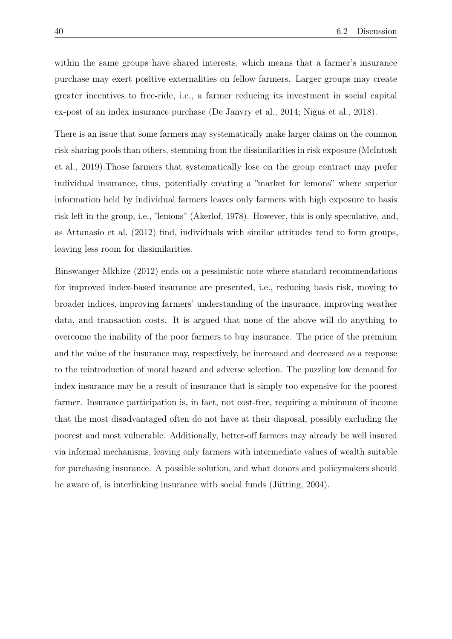within the same groups have shared interests, which means that a farmer's insurance purchase may exert positive externalities on fellow farmers. Larger groups may create greater incentives to free-ride, i.e., a farmer reducing its investment in social capital ex-post of an index insurance purchase (De Janvry et al., 2014; Nigus et al., 2018).

There is an issue that some farmers may systematically make larger claims on the common risk-sharing pools than others, stemming from the dissimilarities in risk exposure (McIntosh et al., 2019).Those farmers that systematically lose on the group contract may prefer individual insurance, thus, potentially creating a "market for lemons" where superior information held by individual farmers leaves only farmers with high exposure to basis risk left in the group, i.e., "lemons" (Akerlof, 1978). However, this is only speculative, and, as Attanasio et al. (2012) find, individuals with similar attitudes tend to form groups, leaving less room for dissimilarities.

Binswanger-Mkhize (2012) ends on a pessimistic note where standard recommendations for improved index-based insurance are presented, i.e., reducing basis risk, moving to broader indices, improving farmers' understanding of the insurance, improving weather data, and transaction costs. It is argued that none of the above will do anything to overcome the inability of the poor farmers to buy insurance. The price of the premium and the value of the insurance may, respectively, be increased and decreased as a response to the reintroduction of moral hazard and adverse selection. The puzzling low demand for index insurance may be a result of insurance that is simply too expensive for the poorest farmer. Insurance participation is, in fact, not cost-free, requiring a minimum of income that the most disadvantaged often do not have at their disposal, possibly excluding the poorest and most vulnerable. Additionally, better-off farmers may already be well insured via informal mechanisms, leaving only farmers with intermediate values of wealth suitable for purchasing insurance. A possible solution, and what donors and policymakers should be aware of, is interlinking insurance with social funds (Jütting, 2004).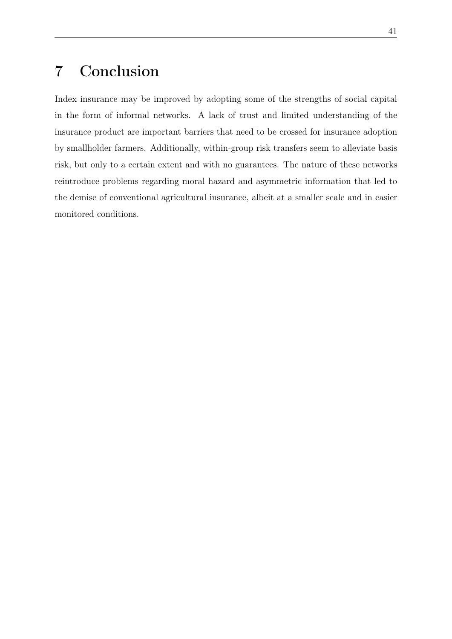# 7 Conclusion

Index insurance may be improved by adopting some of the strengths of social capital in the form of informal networks. A lack of trust and limited understanding of the insurance product are important barriers that need to be crossed for insurance adoption by smallholder farmers. Additionally, within-group risk transfers seem to alleviate basis risk, but only to a certain extent and with no guarantees. The nature of these networks reintroduce problems regarding moral hazard and asymmetric information that led to the demise of conventional agricultural insurance, albeit at a smaller scale and in easier monitored conditions.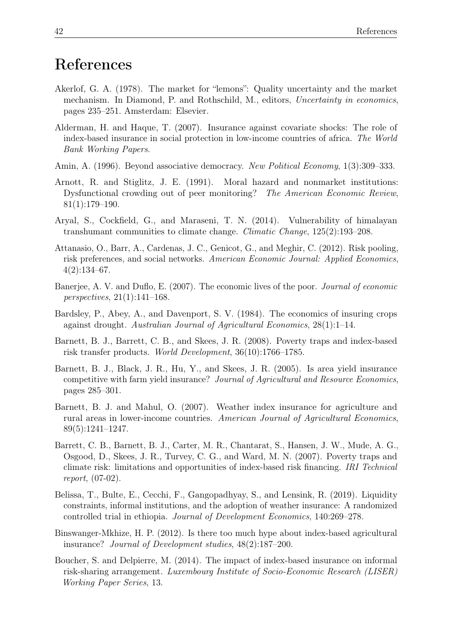# References

- Akerlof, G. A. (1978). The market for "lemons": Quality uncertainty and the market mechanism. In Diamond, P. and Rothschild, M., editors, *Uncertainty in economics*, pages 235–251. Amsterdam: Elsevier.
- Alderman, H. and Haque, T. (2007). Insurance against covariate shocks: The role of index-based insurance in social protection in low-income countries of africa. *The World Bank Working Papers*.
- Amin, A. (1996). Beyond associative democracy. *New Political Economy*, 1(3):309–333.
- Arnott, R. and Stiglitz, J. E. (1991). Moral hazard and nonmarket institutions: Dysfunctional crowding out of peer monitoring? *The American Economic Review*, 81(1):179–190.
- Aryal, S., Cockfield, G., and Maraseni, T. N. (2014). Vulnerability of himalayan transhumant communities to climate change. *Climatic Change*, 125(2):193–208.
- Attanasio, O., Barr, A., Cardenas, J. C., Genicot, G., and Meghir, C. (2012). Risk pooling, risk preferences, and social networks. *American Economic Journal: Applied Economics*,  $4(2):134-67.$
- Banerjee, A. V. and Duflo, E. (2007). The economic lives of the poor. *Journal of economic perspectives*, 21(1):141–168.
- Bardsley, P., Abey, A., and Davenport, S. V. (1984). The economics of insuring crops against drought. *Australian Journal of Agricultural Economics*, 28(1):1–14.
- Barnett, B. J., Barrett, C. B., and Skees, J. R. (2008). Poverty traps and index-based risk transfer products. *World Development*, 36(10):1766–1785.
- Barnett, B. J., Black, J. R., Hu, Y., and Skees, J. R. (2005). Is area yield insurance competitive with farm yield insurance? *Journal of Agricultural and Resource Economics*, pages 285–301.
- Barnett, B. J. and Mahul, O. (2007). Weather index insurance for agriculture and rural areas in lower-income countries. *American Journal of Agricultural Economics*, 89(5):1241–1247.
- Barrett, C. B., Barnett, B. J., Carter, M. R., Chantarat, S., Hansen, J. W., Mude, A. G., Osgood, D., Skees, J. R., Turvey, C. G., and Ward, M. N. (2007). Poverty traps and climate risk: limitations and opportunities of index-based risk financing. *IRI Technical report*, (07-02).
- Belissa, T., Bulte, E., Cecchi, F., Gangopadhyay, S., and Lensink, R. (2019). Liquidity constraints, informal institutions, and the adoption of weather insurance: A randomized controlled trial in ethiopia. *Journal of Development Economics*, 140:269–278.
- Binswanger-Mkhize, H. P. (2012). Is there too much hype about index-based agricultural insurance? *Journal of Development studies*, 48(2):187–200.
- Boucher, S. and Delpierre, M. (2014). The impact of index-based insurance on informal risk-sharing arrangement. *Luxembourg Institute of Socio-Economic Research (LISER) Working Paper Series*, 13.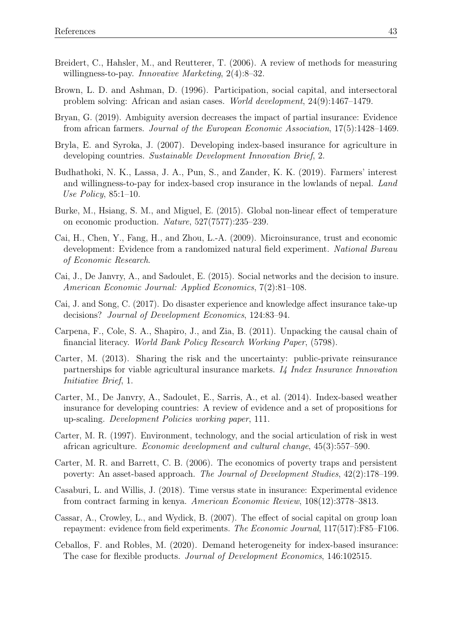- Breidert, C., Hahsler, M., and Reutterer, T. (2006). A review of methods for measuring willingness-to-pay. *Innovative Marketing*, 2(4):8–32.
- Brown, L. D. and Ashman, D. (1996). Participation, social capital, and intersectoral problem solving: African and asian cases. *World development*, 24(9):1467–1479.
- Bryan, G. (2019). Ambiguity aversion decreases the impact of partial insurance: Evidence from african farmers. *Journal of the European Economic Association*, 17(5):1428–1469.
- Bryla, E. and Syroka, J. (2007). Developing index-based insurance for agriculture in developing countries. *Sustainable Development Innovation Brief*, 2.
- Budhathoki, N. K., Lassa, J. A., Pun, S., and Zander, K. K. (2019). Farmers' interest and willingness-to-pay for index-based crop insurance in the lowlands of nepal. *Land Use Policy*, 85:1–10.
- Burke, M., Hsiang, S. M., and Miguel, E. (2015). Global non-linear effect of temperature on economic production. *Nature*, 527(7577):235–239.
- Cai, H., Chen, Y., Fang, H., and Zhou, L.-A. (2009). Microinsurance, trust and economic development: Evidence from a randomized natural field experiment. *National Bureau of Economic Research*.
- Cai, J., De Janvry, A., and Sadoulet, E. (2015). Social networks and the decision to insure. *American Economic Journal: Applied Economics*, 7(2):81–108.
- Cai, J. and Song, C. (2017). Do disaster experience and knowledge affect insurance take-up decisions? *Journal of Development Economics*, 124:83–94.
- Carpena, F., Cole, S. A., Shapiro, J., and Zia, B. (2011). Unpacking the causal chain of financial literacy. *World Bank Policy Research Working Paper*, (5798).
- Carter, M. (2013). Sharing the risk and the uncertainty: public-private reinsurance partnerships for viable agricultural insurance markets. *I4 Index Insurance Innovation Initiative Brief*, 1.
- Carter, M., De Janvry, A., Sadoulet, E., Sarris, A., et al. (2014). Index-based weather insurance for developing countries: A review of evidence and a set of propositions for up-scaling. *Development Policies working paper*, 111.
- Carter, M. R. (1997). Environment, technology, and the social articulation of risk in west african agriculture. *Economic development and cultural change*, 45(3):557–590.
- Carter, M. R. and Barrett, C. B. (2006). The economics of poverty traps and persistent poverty: An asset-based approach. *The Journal of Development Studies*, 42(2):178–199.
- Casaburi, L. and Willis, J. (2018). Time versus state in insurance: Experimental evidence from contract farming in kenya. *American Economic Review*, 108(12):3778–3813.
- Cassar, A., Crowley, L., and Wydick, B. (2007). The effect of social capital on group loan repayment: evidence from field experiments. *The Economic Journal*, 117(517):F85–F106.
- Ceballos, F. and Robles, M. (2020). Demand heterogeneity for index-based insurance: The case for flexible products. *Journal of Development Economics*, 146:102515.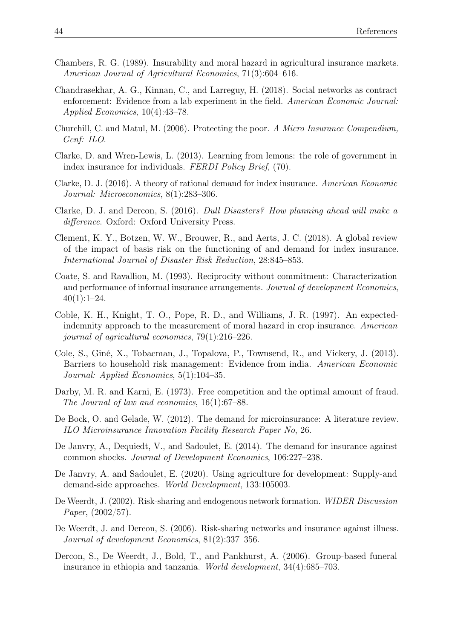- Chambers, R. G. (1989). Insurability and moral hazard in agricultural insurance markets. *American Journal of Agricultural Economics*, 71(3):604–616.
- Chandrasekhar, A. G., Kinnan, C., and Larreguy, H. (2018). Social networks as contract enforcement: Evidence from a lab experiment in the field. *American Economic Journal: Applied Economics*, 10(4):43–78.
- Churchill, C. and Matul, M. (2006). Protecting the poor. *A Micro Insurance Compendium, Genf: ILO*.
- Clarke, D. and Wren-Lewis, L. (2013). Learning from lemons: the role of government in index insurance for individuals. *FERDI Policy Brief*, (70).
- Clarke, D. J. (2016). A theory of rational demand for index insurance. *American Economic Journal: Microeconomics*, 8(1):283–306.
- Clarke, D. J. and Dercon, S. (2016). *Dull Disasters? How planning ahead will make a di*ff*erence*. Oxford: Oxford University Press.
- Clement, K. Y., Botzen, W. W., Brouwer, R., and Aerts, J. C. (2018). A global review of the impact of basis risk on the functioning of and demand for index insurance. *International Journal of Disaster Risk Reduction*, 28:845–853.
- Coate, S. and Ravallion, M. (1993). Reciprocity without commitment: Characterization and performance of informal insurance arrangements. *Journal of development Economics*,  $40(1):1-24.$
- Coble, K. H., Knight, T. O., Pope, R. D., and Williams, J. R. (1997). An expectedindemnity approach to the measurement of moral hazard in crop insurance. *American journal of agricultural economics*, 79(1):216–226.
- Cole, S., Giné, X., Tobacman, J., Topalova, P., Townsend, R., and Vickery, J. (2013). Barriers to household risk management: Evidence from india. *American Economic Journal: Applied Economics*, 5(1):104–35.
- Darby, M. R. and Karni, E. (1973). Free competition and the optimal amount of fraud. *The Journal of law and economics*, 16(1):67–88.
- De Bock, O. and Gelade, W. (2012). The demand for microinsurance: A literature review. *ILO Microinsurance Innovation Facility Research Paper No*, 26.
- De Janvry, A., Dequiedt, V., and Sadoulet, E. (2014). The demand for insurance against common shocks. *Journal of Development Economics*, 106:227–238.
- De Janvry, A. and Sadoulet, E. (2020). Using agriculture for development: Supply-and demand-side approaches. *World Development*, 133:105003.
- De Weerdt, J. (2002). Risk-sharing and endogenous network formation. *WIDER Discussion Paper*, (2002/57).
- De Weerdt, J. and Dercon, S. (2006). Risk-sharing networks and insurance against illness. *Journal of development Economics*, 81(2):337–356.
- Dercon, S., De Weerdt, J., Bold, T., and Pankhurst, A. (2006). Group-based funeral insurance in ethiopia and tanzania. *World development*, 34(4):685–703.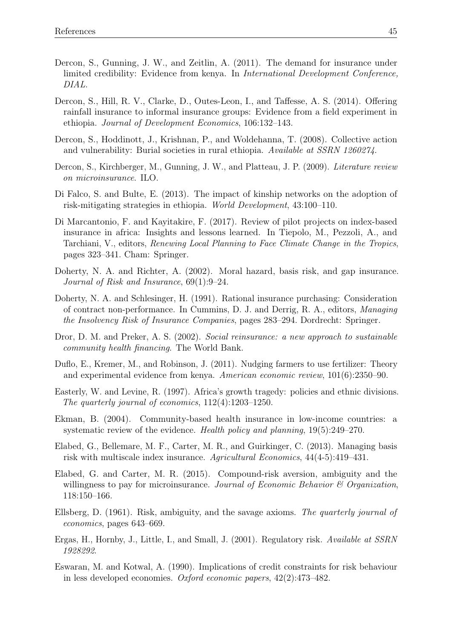- Dercon, S., Gunning, J. W., and Zeitlin, A. (2011). The demand for insurance under limited credibility: Evidence from kenya. In *International Development Conference, DIAL*.
- Dercon, S., Hill, R. V., Clarke, D., Outes-Leon, I., and Taffesse, A. S. (2014). Offering rainfall insurance to informal insurance groups: Evidence from a field experiment in ethiopia. *Journal of Development Economics*, 106:132–143.
- Dercon, S., Hoddinott, J., Krishnan, P., and Woldehanna, T. (2008). Collective action and vulnerability: Burial societies in rural ethiopia. *Available at SSRN 1260274*.
- Dercon, S., Kirchberger, M., Gunning, J. W., and Platteau, J. P. (2009). *Literature review on microinsurance*. ILO.
- Di Falco, S. and Bulte, E. (2013). The impact of kinship networks on the adoption of risk-mitigating strategies in ethiopia. *World Development*, 43:100–110.
- Di Marcantonio, F. and Kayitakire, F. (2017). Review of pilot projects on index-based insurance in africa: Insights and lessons learned. In Tiepolo, M., Pezzoli, A., and Tarchiani, V., editors, *Renewing Local Planning to Face Climate Change in the Tropics*, pages 323–341. Cham: Springer.
- Doherty, N. A. and Richter, A. (2002). Moral hazard, basis risk, and gap insurance. *Journal of Risk and Insurance*, 69(1):9–24.
- Doherty, N. A. and Schlesinger, H. (1991). Rational insurance purchasing: Consideration of contract non-performance. In Cummins, D. J. and Derrig, R. A., editors, *Managing the Insolvency Risk of Insurance Companies*, pages 283–294. Dordrecht: Springer.
- Dror, D. M. and Preker, A. S. (2002). *Social reinsurance: a new approach to sustainable community health financing*. The World Bank.
- Duflo, E., Kremer, M., and Robinson, J. (2011). Nudging farmers to use fertilizer: Theory and experimental evidence from kenya. *American economic review*, 101(6):2350–90.
- Easterly, W. and Levine, R. (1997). Africa's growth tragedy: policies and ethnic divisions. *The quarterly journal of economics*, 112(4):1203–1250.
- Ekman, B. (2004). Community-based health insurance in low-income countries: a systematic review of the evidence. *Health policy and planning*, 19(5):249–270.
- Elabed, G., Bellemare, M. F., Carter, M. R., and Guirkinger, C. (2013). Managing basis risk with multiscale index insurance. *Agricultural Economics*, 44(4-5):419–431.
- Elabed, G. and Carter, M. R. (2015). Compound-risk aversion, ambiguity and the willingness to pay for microinsurance. *Journal of Economic Behavior & Organization*, 118:150–166.
- Ellsberg, D. (1961). Risk, ambiguity, and the savage axioms. *The quarterly journal of economics*, pages 643–669.
- Ergas, H., Hornby, J., Little, I., and Small, J. (2001). Regulatory risk. *Available at SSRN 1928292*.
- Eswaran, M. and Kotwal, A. (1990). Implications of credit constraints for risk behaviour in less developed economies. *Oxford economic papers*, 42(2):473–482.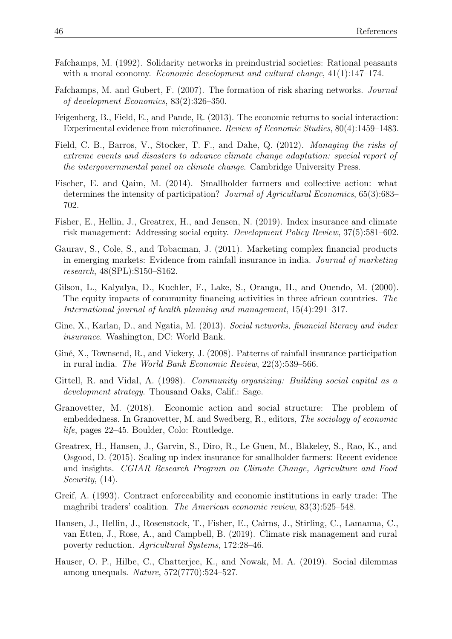- Fafchamps, M. (1992). Solidarity networks in preindustrial societies: Rational peasants with a moral economy. *Economic development and cultural change*, 41(1):147–174.
- Fafchamps, M. and Gubert, F. (2007). The formation of risk sharing networks. *Journal of development Economics*, 83(2):326–350.
- Feigenberg, B., Field, E., and Pande, R. (2013). The economic returns to social interaction: Experimental evidence from microfinance. *Review of Economic Studies*, 80(4):1459–1483.
- Field, C. B., Barros, V., Stocker, T. F., and Dahe, Q. (2012). *Managing the risks of extreme events and disasters to advance climate change adaptation: special report of the intergovernmental panel on climate change*. Cambridge University Press.
- Fischer, E. and Qaim, M. (2014). Smallholder farmers and collective action: what determines the intensity of participation? *Journal of Agricultural Economics*, 65(3):683– 702.
- Fisher, E., Hellin, J., Greatrex, H., and Jensen, N. (2019). Index insurance and climate risk management: Addressing social equity. *Development Policy Review*, 37(5):581–602.
- Gaurav, S., Cole, S., and Tobacman, J. (2011). Marketing complex financial products in emerging markets: Evidence from rainfall insurance in india. *Journal of marketing research*, 48(SPL):S150–S162.
- Gilson, L., Kalyalya, D., Kuchler, F., Lake, S., Oranga, H., and Ouendo, M. (2000). The equity impacts of community financing activities in three african countries. *The International journal of health planning and management*, 15(4):291–317.
- Gine, X., Karlan, D., and Ngatia, M. (2013). *Social networks, financial literacy and index insurance*. Washington, DC: World Bank.
- Giné, X., Townsend, R., and Vickery, J. (2008). Patterns of rainfall insurance participation in rural india. *The World Bank Economic Review*, 22(3):539–566.
- Gittell, R. and Vidal, A. (1998). *Community organizing: Building social capital as a development strategy*. Thousand Oaks, Calif.: Sage.
- Granovetter, M. (2018). Economic action and social structure: The problem of embeddedness. In Granovetter, M. and Swedberg, R., editors, *The sociology of economic life*, pages 22–45. Boulder, Colo: Routledge.
- Greatrex, H., Hansen, J., Garvin, S., Diro, R., Le Guen, M., Blakeley, S., Rao, K., and Osgood, D. (2015). Scaling up index insurance for smallholder farmers: Recent evidence and insights. *CGIAR Research Program on Climate Change, Agriculture and Food Security*, (14).
- Greif, A. (1993). Contract enforceability and economic institutions in early trade: The maghribi traders' coalition. *The American economic review*, 83(3):525–548.
- Hansen, J., Hellin, J., Rosenstock, T., Fisher, E., Cairns, J., Stirling, C., Lamanna, C., van Etten, J., Rose, A., and Campbell, B. (2019). Climate risk management and rural poverty reduction. *Agricultural Systems*, 172:28–46.
- Hauser, O. P., Hilbe, C., Chatterjee, K., and Nowak, M. A. (2019). Social dilemmas among unequals. *Nature*, 572(7770):524–527.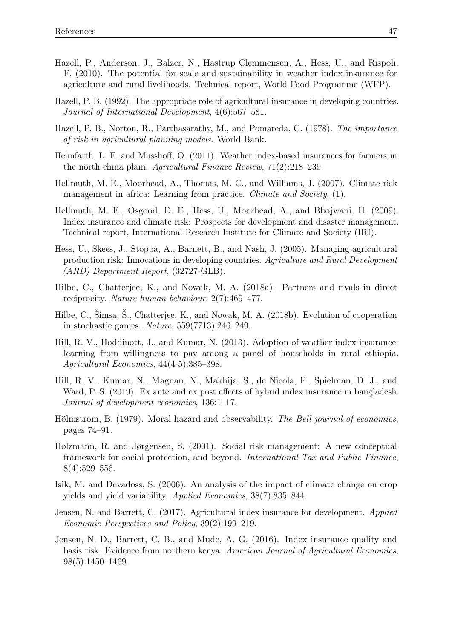- Hazell, P., Anderson, J., Balzer, N., Hastrup Clemmensen, A., Hess, U., and Rispoli, F. (2010). The potential for scale and sustainability in weather index insurance for agriculture and rural livelihoods. Technical report, World Food Programme (WFP).
- Hazell, P. B. (1992). The appropriate role of agricultural insurance in developing countries. *Journal of International Development*, 4(6):567–581.
- Hazell, P. B., Norton, R., Parthasarathy, M., and Pomareda, C. (1978). *The importance of risk in agricultural planning models*. World Bank.
- Heimfarth, L. E. and Musshoff, O. (2011). Weather index-based insurances for farmers in the north china plain. *Agricultural Finance Review*, 71(2):218–239.
- Hellmuth, M. E., Moorhead, A., Thomas, M. C., and Williams, J. (2007). Climate risk management in africa: Learning from practice. *Climate and Society*, (1).
- Hellmuth, M. E., Osgood, D. E., Hess, U., Moorhead, A., and Bhojwani, H. (2009). Index insurance and climate risk: Prospects for development and disaster management. Technical report, International Research Institute for Climate and Society (IRI).
- Hess, U., Skees, J., Stoppa, A., Barnett, B., and Nash, J. (2005). Managing agricultural production risk: Innovations in developing countries. *Agriculture and Rural Development (ARD) Department Report*, (32727-GLB).
- Hilbe, C., Chatterjee, K., and Nowak, M. A. (2018a). Partners and rivals in direct reciprocity. *Nature human behaviour*, 2(7):469–477.
- Hilbe, C., Šimsa, Š., Chatterjee, K., and Nowak, M. A. (2018b). Evolution of cooperation in stochastic games. *Nature*, 559(7713):246–249.
- Hill, R. V., Hoddinott, J., and Kumar, N. (2013). Adoption of weather-index insurance: learning from willingness to pay among a panel of households in rural ethiopia. *Agricultural Economics*, 44(4-5):385–398.
- Hill, R. V., Kumar, N., Magnan, N., Makhija, S., de Nicola, F., Spielman, D. J., and Ward, P. S. (2019). Ex ante and ex post effects of hybrid index insurance in bangladesh. *Journal of development economics*, 136:1–17.
- Hölmstrom, B. (1979). Moral hazard and observability. *The Bell journal of economics*, pages 74–91.
- Holzmann, R. and Jørgensen, S. (2001). Social risk management: A new conceptual framework for social protection, and beyond. *International Tax and Public Finance*, 8(4):529–556.
- Isik, M. and Devadoss, S. (2006). An analysis of the impact of climate change on crop yields and yield variability. *Applied Economics*, 38(7):835–844.
- Jensen, N. and Barrett, C. (2017). Agricultural index insurance for development. *Applied Economic Perspectives and Policy*, 39(2):199–219.
- Jensen, N. D., Barrett, C. B., and Mude, A. G. (2016). Index insurance quality and basis risk: Evidence from northern kenya. *American Journal of Agricultural Economics*, 98(5):1450–1469.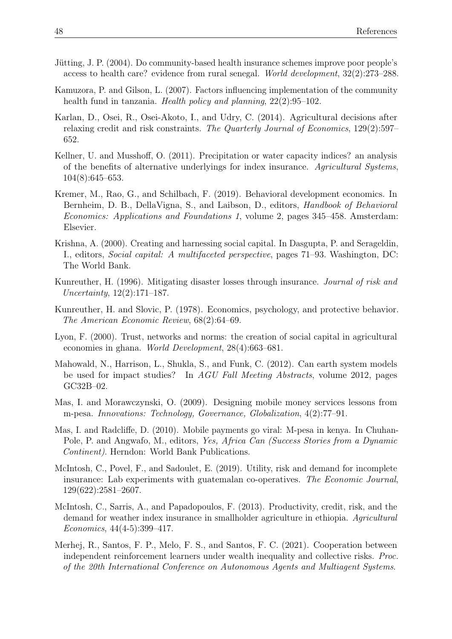- Jütting, J. P. (2004). Do community-based health insurance schemes improve poor people's access to health care? evidence from rural senegal. *World development*, 32(2):273–288.
- Kamuzora, P. and Gilson, L. (2007). Factors influencing implementation of the community health fund in tanzania. *Health policy and planning*, 22(2):95–102.
- Karlan, D., Osei, R., Osei-Akoto, I., and Udry, C. (2014). Agricultural decisions after relaxing credit and risk constraints. *The Quarterly Journal of Economics*, 129(2):597– 652.
- Kellner, U. and Musshoff, O. (2011). Precipitation or water capacity indices? an analysis of the benefits of alternative underlyings for index insurance. *Agricultural Systems*, 104(8):645–653.
- Kremer, M., Rao, G., and Schilbach, F. (2019). Behavioral development economics. In Bernheim, D. B., DellaVigna, S., and Laibson, D., editors, *Handbook of Behavioral Economics: Applications and Foundations 1*, volume 2, pages 345–458. Amsterdam: Elsevier.
- Krishna, A. (2000). Creating and harnessing social capital. In Dasgupta, P. and Serageldin, I., editors, *Social capital: A multifaceted perspective*, pages 71–93. Washington, DC: The World Bank.
- Kunreuther, H. (1996). Mitigating disaster losses through insurance. *Journal of risk and Uncertainty*, 12(2):171–187.
- Kunreuther, H. and Slovic, P. (1978). Economics, psychology, and protective behavior. *The American Economic Review*, 68(2):64–69.
- Lyon, F. (2000). Trust, networks and norms: the creation of social capital in agricultural economies in ghana. *World Development*, 28(4):663–681.
- Mahowald, N., Harrison, L., Shukla, S., and Funk, C. (2012). Can earth system models be used for impact studies? In *AGU Fall Meeting Abstracts*, volume 2012, pages GC32B–02.
- Mas, I. and Morawczynski, O. (2009). Designing mobile money services lessons from m-pesa. *Innovations: Technology, Governance, Globalization*, 4(2):77–91.
- Mas, I. and Radcliffe, D. (2010). Mobile payments go viral: M-pesa in kenya. In Chuhan-Pole, P. and Angwafo, M., editors, *Yes, Africa Can (Success Stories from a Dynamic Continent)*. Herndon: World Bank Publications.
- McIntosh, C., Povel, F., and Sadoulet, E. (2019). Utility, risk and demand for incomplete insurance: Lab experiments with guatemalan co-operatives. *The Economic Journal*, 129(622):2581–2607.
- McIntosh, C., Sarris, A., and Papadopoulos, F. (2013). Productivity, credit, risk, and the demand for weather index insurance in smallholder agriculture in ethiopia. *Agricultural Economics*, 44(4-5):399–417.
- Merhej, R., Santos, F. P., Melo, F. S., and Santos, F. C. (2021). Cooperation between independent reinforcement learners under wealth inequality and collective risks. *Proc. of the 20th International Conference on Autonomous Agents and Multiagent Systems*.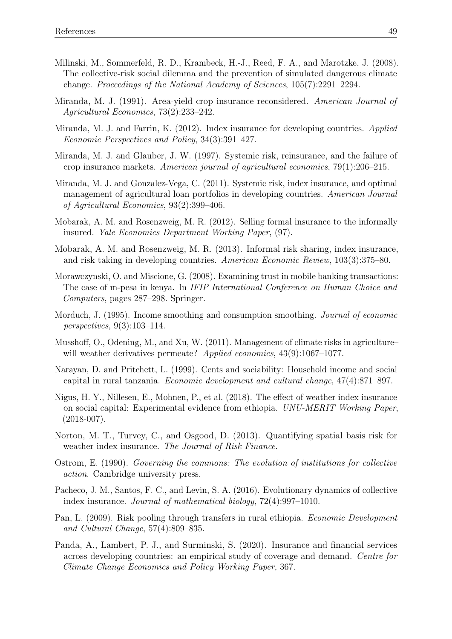- Milinski, M., Sommerfeld, R. D., Krambeck, H.-J., Reed, F. A., and Marotzke, J. (2008). The collective-risk social dilemma and the prevention of simulated dangerous climate change. *Proceedings of the National Academy of Sciences*, 105(7):2291–2294.
- Miranda, M. J. (1991). Area-yield crop insurance reconsidered. *American Journal of Agricultural Economics*, 73(2):233–242.
- Miranda, M. J. and Farrin, K. (2012). Index insurance for developing countries. *Applied Economic Perspectives and Policy*, 34(3):391–427.
- Miranda, M. J. and Glauber, J. W. (1997). Systemic risk, reinsurance, and the failure of crop insurance markets. *American journal of agricultural economics*, 79(1):206–215.
- Miranda, M. J. and Gonzalez-Vega, C. (2011). Systemic risk, index insurance, and optimal management of agricultural loan portfolios in developing countries. *American Journal of Agricultural Economics*, 93(2):399–406.
- Mobarak, A. M. and Rosenzweig, M. R. (2012). Selling formal insurance to the informally insured. *Yale Economics Department Working Paper*, (97).
- Mobarak, A. M. and Rosenzweig, M. R. (2013). Informal risk sharing, index insurance, and risk taking in developing countries. *American Economic Review*, 103(3):375–80.
- Morawczynski, O. and Miscione, G. (2008). Examining trust in mobile banking transactions: The case of m-pesa in kenya. In *IFIP International Conference on Human Choice and Computers*, pages 287–298. Springer.
- Morduch, J. (1995). Income smoothing and consumption smoothing. *Journal of economic perspectives*, 9(3):103–114.
- Musshoff, O., Odening, M., and Xu, W. (2011). Management of climate risks in agriculture– will weather derivatives permeate? *Applied economics*, 43(9):1067–1077.
- Narayan, D. and Pritchett, L. (1999). Cents and sociability: Household income and social capital in rural tanzania. *Economic development and cultural change*, 47(4):871–897.
- Nigus, H. Y., Nillesen, E., Mohnen, P., et al. (2018). The effect of weather index insurance on social capital: Experimental evidence from ethiopia. *UNU-MERIT Working Paper*,  $(2018-007)$ .
- Norton, M. T., Turvey, C., and Osgood, D. (2013). Quantifying spatial basis risk for weather index insurance. *The Journal of Risk Finance*.
- Ostrom, E. (1990). *Governing the commons: The evolution of institutions for collective action*. Cambridge university press.
- Pacheco, J. M., Santos, F. C., and Levin, S. A. (2016). Evolutionary dynamics of collective index insurance. *Journal of mathematical biology*, 72(4):997–1010.
- Pan, L. (2009). Risk pooling through transfers in rural ethiopia. *Economic Development and Cultural Change*, 57(4):809–835.
- Panda, A., Lambert, P. J., and Surminski, S. (2020). Insurance and financial services across developing countries: an empirical study of coverage and demand. *Centre for Climate Change Economics and Policy Working Paper*, 367.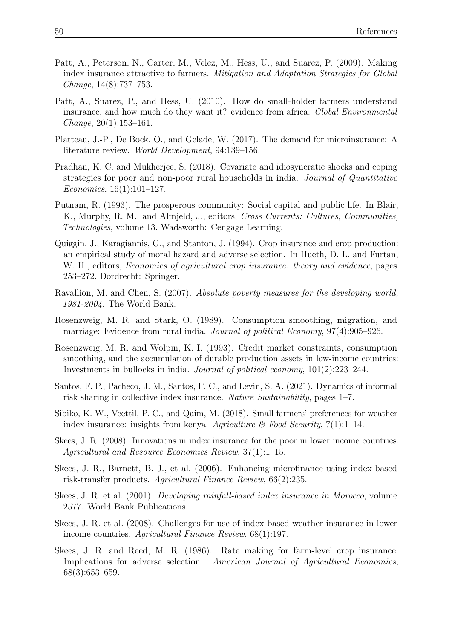- Patt, A., Peterson, N., Carter, M., Velez, M., Hess, U., and Suarez, P. (2009). Making index insurance attractive to farmers. *Mitigation and Adaptation Strategies for Global Change*, 14(8):737–753.
- Patt, A., Suarez, P., and Hess, U. (2010). How do small-holder farmers understand insurance, and how much do they want it? evidence from africa. *Global Environmental Change*, 20(1):153–161.
- Platteau, J.-P., De Bock, O., and Gelade, W. (2017). The demand for microinsurance: A literature review. *World Development*, 94:139–156.
- Pradhan, K. C. and Mukherjee, S. (2018). Covariate and idiosyncratic shocks and coping strategies for poor and non-poor rural households in india. *Journal of Quantitative Economics*, 16(1):101–127.
- Putnam, R. (1993). The prosperous community: Social capital and public life. In Blair, K., Murphy, R. M., and Almjeld, J., editors, *Cross Currents: Cultures, Communities, Technologies*, volume 13. Wadsworth: Cengage Learning.
- Quiggin, J., Karagiannis, G., and Stanton, J. (1994). Crop insurance and crop production: an empirical study of moral hazard and adverse selection. In Hueth, D. L. and Furtan, W. H., editors, *Economics of agricultural crop insurance: theory and evidence*, pages 253–272. Dordrecht: Springer.
- Ravallion, M. and Chen, S. (2007). *Absolute poverty measures for the developing world, 1981-2004*. The World Bank.
- Rosenzweig, M. R. and Stark, O. (1989). Consumption smoothing, migration, and marriage: Evidence from rural india. *Journal of political Economy*, 97(4):905–926.
- Rosenzweig, M. R. and Wolpin, K. I. (1993). Credit market constraints, consumption smoothing, and the accumulation of durable production assets in low-income countries: Investments in bullocks in india. *Journal of political economy*, 101(2):223–244.
- Santos, F. P., Pacheco, J. M., Santos, F. C., and Levin, S. A. (2021). Dynamics of informal risk sharing in collective index insurance. *Nature Sustainability*, pages 1–7.
- Sibiko, K. W., Veettil, P. C., and Qaim, M. (2018). Small farmers' preferences for weather index insurance: insights from kenya. *Agriculture & Food Security*, 7(1):1–14.
- Skees, J. R. (2008). Innovations in index insurance for the poor in lower income countries. *Agricultural and Resource Economics Review*, 37(1):1–15.
- Skees, J. R., Barnett, B. J., et al. (2006). Enhancing microfinance using index-based risk-transfer products. *Agricultural Finance Review*, 66(2):235.
- Skees, J. R. et al. (2001). *Developing rainfall-based index insurance in Morocco*, volume 2577. World Bank Publications.
- Skees, J. R. et al. (2008). Challenges for use of index-based weather insurance in lower income countries. *Agricultural Finance Review*, 68(1):197.
- Skees, J. R. and Reed, M. R. (1986). Rate making for farm-level crop insurance: Implications for adverse selection. *American Journal of Agricultural Economics*, 68(3):653–659.